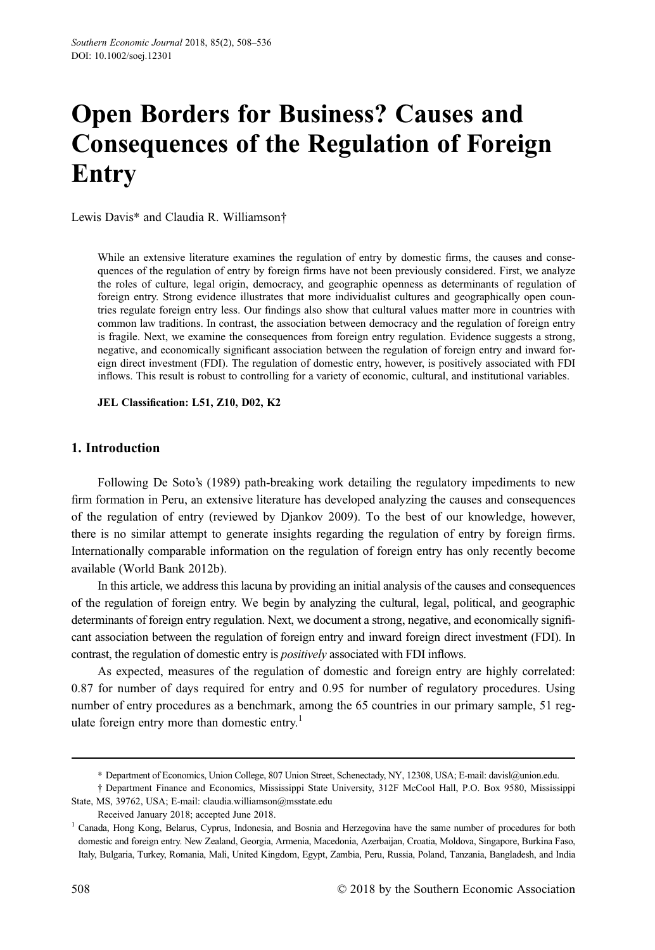# Open Borders for Business? Causes and Consequences of the Regulation of Foreign Entry

Lewis Davis\* and Claudia R. Williamson†

While an extensive literature examines the regulation of entry by domestic firms, the causes and consequences of the regulation of entry by foreign firms have not been previously considered. First, we analyze the roles of culture, legal origin, democracy, and geographic openness as determinants of regulation of foreign entry. Strong evidence illustrates that more individualist cultures and geographically open countries regulate foreign entry less. Our findings also show that cultural values matter more in countries with common law traditions. In contrast, the association between democracy and the regulation of foreign entry is fragile. Next, we examine the consequences from foreign entry regulation. Evidence suggests a strong, negative, and economically significant association between the regulation of foreign entry and inward foreign direct investment (FDI). The regulation of domestic entry, however, is positively associated with FDI inflows. This result is robust to controlling for a variety of economic, cultural, and institutional variables.

JEL Classification: L51, Z10, D02, K2

# 1. Introduction

Following De Soto's (1989) path-breaking work detailing the regulatory impediments to new firm formation in Peru, an extensive literature has developed analyzing the causes and consequences of the regulation of entry (reviewed by Djankov 2009). To the best of our knowledge, however, there is no similar attempt to generate insights regarding the regulation of entry by foreign firms. Internationally comparable information on the regulation of foreign entry has only recently become available (World Bank 2012b).

In this article, we address this lacuna by providing an initial analysis of the causes and consequences of the regulation of foreign entry. We begin by analyzing the cultural, legal, political, and geographic determinants of foreign entry regulation. Next, we document a strong, negative, and economically significant association between the regulation of foreign entry and inward foreign direct investment (FDI). In contrast, the regulation of domestic entry is positively associated with FDI inflows.

As expected, measures of the regulation of domestic and foreign entry are highly correlated: 0.87 for number of days required for entry and 0.95 for number of regulatory procedures. Using number of entry procedures as a benchmark, among the 65 countries in our primary sample, 51 regulate foreign entry more than domestic entry.<sup>1</sup>

<sup>\*</sup> Department of Economics, Union College, 807 Union Street, Schenectady, NY, 12308, USA; E-mail: davisl@union.edu.

<sup>†</sup> Department Finance and Economics, Mississippi State University, 312F McCool Hall, P.O. Box 9580, Mississippi State, MS, 39762, USA; E-mail: claudia.williamson@msstate.edu

Received January 2018; accepted June 2018.

<sup>1</sup> Canada, Hong Kong, Belarus, Cyprus, Indonesia, and Bosnia and Herzegovina have the same number of procedures for both domestic and foreign entry. New Zealand, Georgia, Armenia, Macedonia, Azerbaijan, Croatia, Moldova, Singapore, Burkina Faso, Italy, Bulgaria, Turkey, Romania, Mali, United Kingdom, Egypt, Zambia, Peru, Russia, Poland, Tanzania, Bangladesh, and India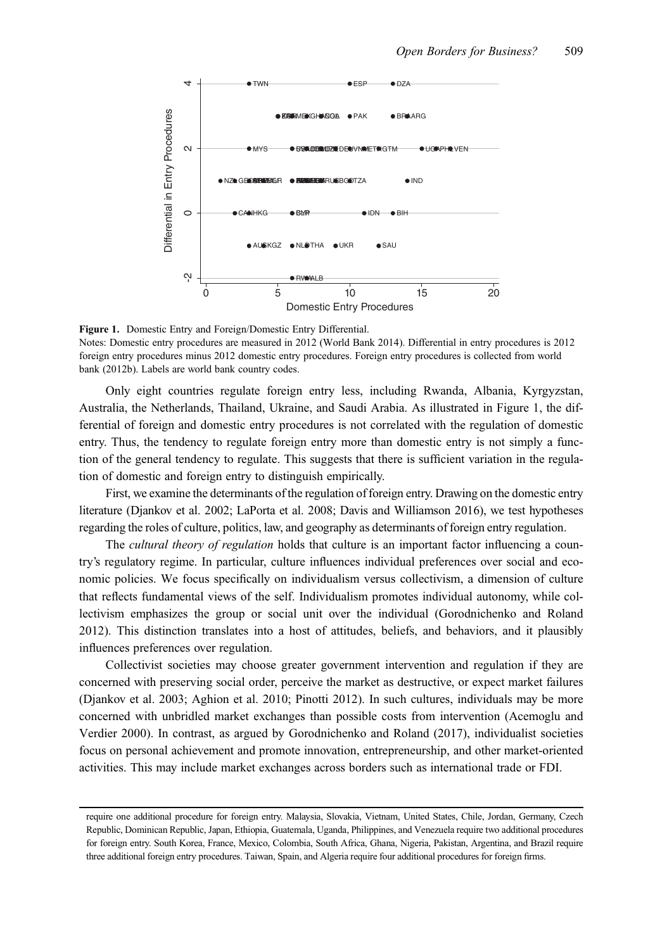

Figure 1. Domestic Entry and Foreign/Domestic Entry Differential.

Notes: Domestic entry procedures are measured in 2012 (World Bank 2014). Differential in entry procedures is 2012 foreign entry procedures minus 2012 domestic entry procedures. Foreign entry procedures is collected from world bank (2012b). Labels are world bank country codes.

Only eight countries regulate foreign entry less, including Rwanda, Albania, Kyrgyzstan, Australia, the Netherlands, Thailand, Ukraine, and Saudi Arabia. As illustrated in Figure 1, the differential of foreign and domestic entry procedures is not correlated with the regulation of domestic entry. Thus, the tendency to regulate foreign entry more than domestic entry is not simply a function of the general tendency to regulate. This suggests that there is sufficient variation in the regulation of domestic and foreign entry to distinguish empirically.

First, we examine the determinants of the regulation of foreign entry. Drawing on the domestic entry literature (Djankov et al. 2002; LaPorta et al. 2008; Davis and Williamson 2016), we test hypotheses regarding the roles of culture, politics, law, and geography as determinants of foreign entry regulation.

The *cultural theory of regulation* holds that culture is an important factor influencing a country's regulatory regime. In particular, culture influences individual preferences over social and economic policies. We focus specifically on individualism versus collectivism, a dimension of culture that reflects fundamental views of the self. Individualism promotes individual autonomy, while collectivism emphasizes the group or social unit over the individual (Gorodnichenko and Roland 2012). This distinction translates into a host of attitudes, beliefs, and behaviors, and it plausibly influences preferences over regulation.

Collectivist societies may choose greater government intervention and regulation if they are concerned with preserving social order, perceive the market as destructive, or expect market failures (Djankov et al. 2003; Aghion et al. 2010; Pinotti 2012). In such cultures, individuals may be more concerned with unbridled market exchanges than possible costs from intervention (Acemoglu and Verdier 2000). In contrast, as argued by Gorodnichenko and Roland (2017), individualist societies focus on personal achievement and promote innovation, entrepreneurship, and other market-oriented activities. This may include market exchanges across borders such as international trade or FDI.

require one additional procedure for foreign entry. Malaysia, Slovakia, Vietnam, United States, Chile, Jordan, Germany, Czech Republic, Dominican Republic, Japan, Ethiopia, Guatemala, Uganda, Philippines, and Venezuela require two additional procedures for foreign entry. South Korea, France, Mexico, Colombia, South Africa, Ghana, Nigeria, Pakistan, Argentina, and Brazil require three additional foreign entry procedures. Taiwan, Spain, and Algeria require four additional procedures for foreign firms.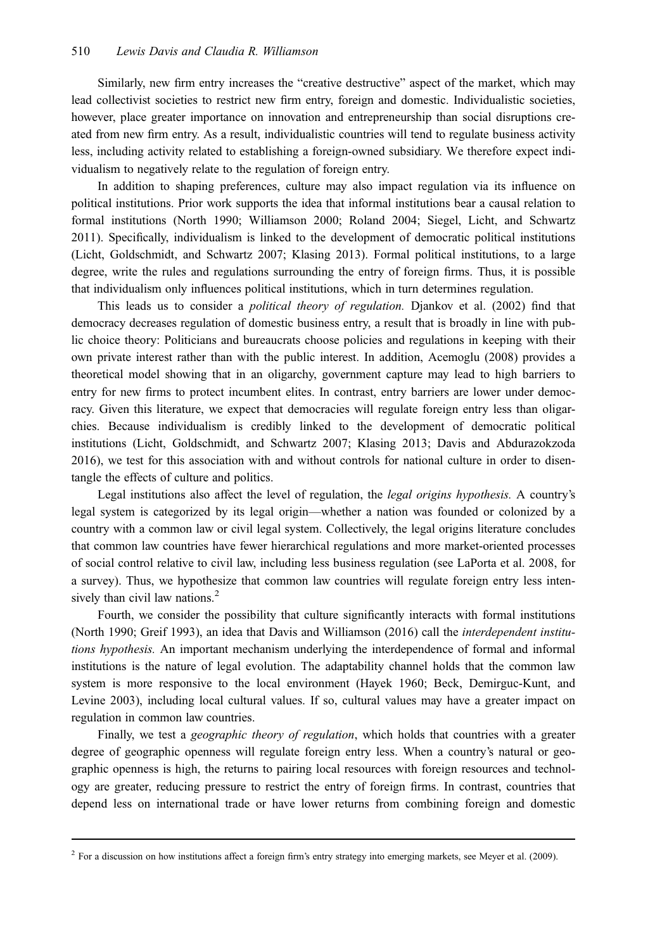Similarly, new firm entry increases the "creative destructive" aspect of the market, which may lead collectivist societies to restrict new firm entry, foreign and domestic. Individualistic societies, however, place greater importance on innovation and entrepreneurship than social disruptions created from new firm entry. As a result, individualistic countries will tend to regulate business activity less, including activity related to establishing a foreign-owned subsidiary. We therefore expect individualism to negatively relate to the regulation of foreign entry.

In addition to shaping preferences, culture may also impact regulation via its influence on political institutions. Prior work supports the idea that informal institutions bear a causal relation to formal institutions (North 1990; Williamson 2000; Roland 2004; Siegel, Licht, and Schwartz 2011). Specifically, individualism is linked to the development of democratic political institutions (Licht, Goldschmidt, and Schwartz 2007; Klasing 2013). Formal political institutions, to a large degree, write the rules and regulations surrounding the entry of foreign firms. Thus, it is possible that individualism only influences political institutions, which in turn determines regulation.

This leads us to consider a political theory of regulation. Djankov et al. (2002) find that democracy decreases regulation of domestic business entry, a result that is broadly in line with public choice theory: Politicians and bureaucrats choose policies and regulations in keeping with their own private interest rather than with the public interest. In addition, Acemoglu (2008) provides a theoretical model showing that in an oligarchy, government capture may lead to high barriers to entry for new firms to protect incumbent elites. In contrast, entry barriers are lower under democracy. Given this literature, we expect that democracies will regulate foreign entry less than oligarchies. Because individualism is credibly linked to the development of democratic political institutions (Licht, Goldschmidt, and Schwartz 2007; Klasing 2013; Davis and Abdurazokzoda 2016), we test for this association with and without controls for national culture in order to disentangle the effects of culture and politics.

Legal institutions also affect the level of regulation, the legal origins hypothesis. A country's legal system is categorized by its legal origin—whether a nation was founded or colonized by a country with a common law or civil legal system. Collectively, the legal origins literature concludes that common law countries have fewer hierarchical regulations and more market-oriented processes of social control relative to civil law, including less business regulation (see LaPorta et al. 2008, for a survey). Thus, we hypothesize that common law countries will regulate foreign entry less intensively than civil law nations.<sup>2</sup>

Fourth, we consider the possibility that culture significantly interacts with formal institutions (North 1990; Greif 1993), an idea that Davis and Williamson (2016) call the interdependent institutions hypothesis. An important mechanism underlying the interdependence of formal and informal institutions is the nature of legal evolution. The adaptability channel holds that the common law system is more responsive to the local environment (Hayek 1960; Beck, Demirguc-Kunt, and Levine 2003), including local cultural values. If so, cultural values may have a greater impact on regulation in common law countries.

Finally, we test a *geographic theory of regulation*, which holds that countries with a greater degree of geographic openness will regulate foreign entry less. When a country's natural or geographic openness is high, the returns to pairing local resources with foreign resources and technology are greater, reducing pressure to restrict the entry of foreign firms. In contrast, countries that depend less on international trade or have lower returns from combining foreign and domestic

<sup>&</sup>lt;sup>2</sup> For a discussion on how institutions affect a foreign firm's entry strategy into emerging markets, see Meyer et al. (2009).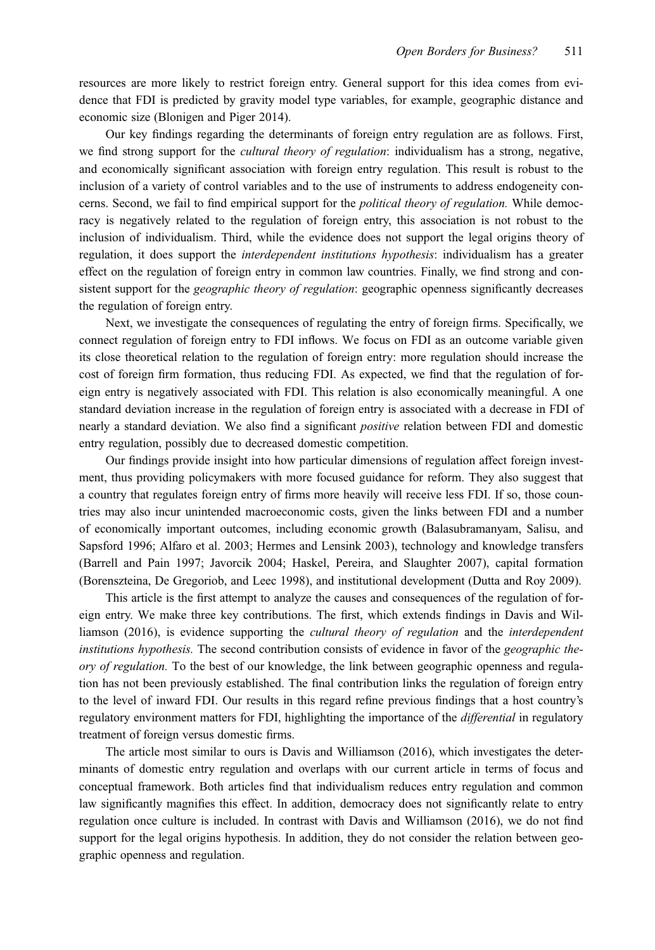resources are more likely to restrict foreign entry. General support for this idea comes from evidence that FDI is predicted by gravity model type variables, for example, geographic distance and economic size (Blonigen and Piger 2014).

Our key findings regarding the determinants of foreign entry regulation are as follows. First, we find strong support for the *cultural theory of regulation*: individualism has a strong, negative, and economically significant association with foreign entry regulation. This result is robust to the inclusion of a variety of control variables and to the use of instruments to address endogeneity concerns. Second, we fail to find empirical support for the *political theory of regulation*. While democracy is negatively related to the regulation of foreign entry, this association is not robust to the inclusion of individualism. Third, while the evidence does not support the legal origins theory of regulation, it does support the interdependent institutions hypothesis: individualism has a greater effect on the regulation of foreign entry in common law countries. Finally, we find strong and consistent support for the *geographic theory of regulation*: geographic openness significantly decreases the regulation of foreign entry.

Next, we investigate the consequences of regulating the entry of foreign firms. Specifically, we connect regulation of foreign entry to FDI inflows. We focus on FDI as an outcome variable given its close theoretical relation to the regulation of foreign entry: more regulation should increase the cost of foreign firm formation, thus reducing FDI. As expected, we find that the regulation of foreign entry is negatively associated with FDI. This relation is also economically meaningful. A one standard deviation increase in the regulation of foreign entry is associated with a decrease in FDI of nearly a standard deviation. We also find a significant positive relation between FDI and domestic entry regulation, possibly due to decreased domestic competition.

Our findings provide insight into how particular dimensions of regulation affect foreign investment, thus providing policymakers with more focused guidance for reform. They also suggest that a country that regulates foreign entry of firms more heavily will receive less FDI. If so, those countries may also incur unintended macroeconomic costs, given the links between FDI and a number of economically important outcomes, including economic growth (Balasubramanyam, Salisu, and Sapsford 1996; Alfaro et al. 2003; Hermes and Lensink 2003), technology and knowledge transfers (Barrell and Pain 1997; Javorcik 2004; Haskel, Pereira, and Slaughter 2007), capital formation (Borenszteina, De Gregoriob, and Leec 1998), and institutional development (Dutta and Roy 2009).

This article is the first attempt to analyze the causes and consequences of the regulation of foreign entry. We make three key contributions. The first, which extends findings in Davis and Williamson (2016), is evidence supporting the cultural theory of regulation and the interdependent institutions hypothesis. The second contribution consists of evidence in favor of the *geographic the*ory of regulation. To the best of our knowledge, the link between geographic openness and regulation has not been previously established. The final contribution links the regulation of foreign entry to the level of inward FDI. Our results in this regard refine previous findings that a host country's regulatory environment matters for FDI, highlighting the importance of the *differential* in regulatory treatment of foreign versus domestic firms.

The article most similar to ours is Davis and Williamson (2016), which investigates the determinants of domestic entry regulation and overlaps with our current article in terms of focus and conceptual framework. Both articles find that individualism reduces entry regulation and common law significantly magnifies this effect. In addition, democracy does not significantly relate to entry regulation once culture is included. In contrast with Davis and Williamson (2016), we do not find support for the legal origins hypothesis. In addition, they do not consider the relation between geographic openness and regulation.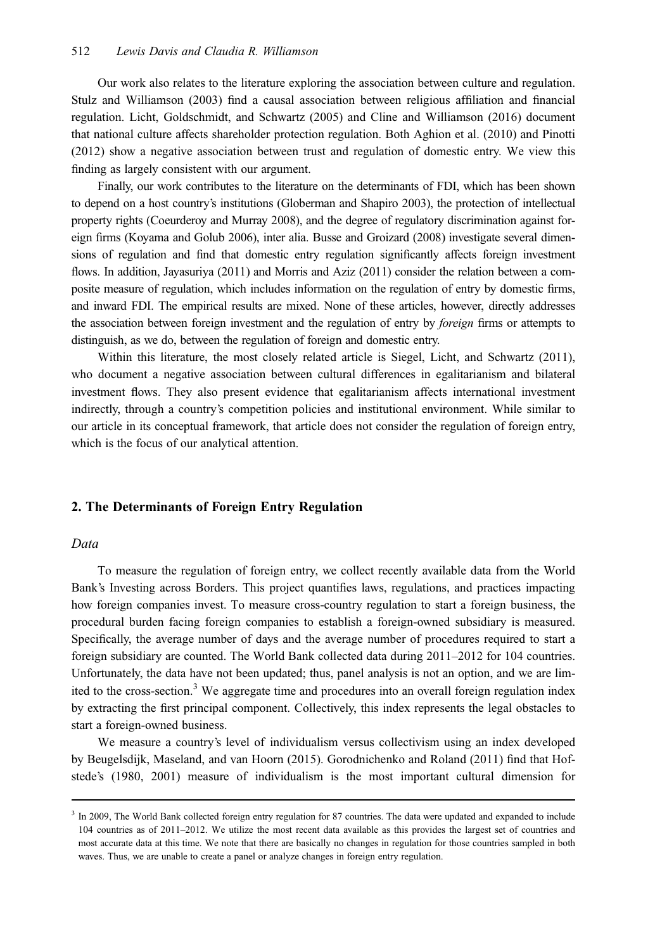Our work also relates to the literature exploring the association between culture and regulation. Stulz and Williamson (2003) find a causal association between religious affiliation and financial regulation. Licht, Goldschmidt, and Schwartz (2005) and Cline and Williamson (2016) document that national culture affects shareholder protection regulation. Both Aghion et al. (2010) and Pinotti (2012) show a negative association between trust and regulation of domestic entry. We view this finding as largely consistent with our argument.

Finally, our work contributes to the literature on the determinants of FDI, which has been shown to depend on a host country's institutions (Globerman and Shapiro 2003), the protection of intellectual property rights (Coeurderoy and Murray 2008), and the degree of regulatory discrimination against foreign firms (Koyama and Golub 2006), inter alia. Busse and Groizard (2008) investigate several dimensions of regulation and find that domestic entry regulation significantly affects foreign investment flows. In addition, Jayasuriya (2011) and Morris and Aziz (2011) consider the relation between a composite measure of regulation, which includes information on the regulation of entry by domestic firms, and inward FDI. The empirical results are mixed. None of these articles, however, directly addresses the association between foreign investment and the regulation of entry by *foreign* firms or attempts to distinguish, as we do, between the regulation of foreign and domestic entry.

Within this literature, the most closely related article is Siegel, Licht, and Schwartz (2011), who document a negative association between cultural differences in egalitarianism and bilateral investment flows. They also present evidence that egalitarianism affects international investment indirectly, through a country's competition policies and institutional environment. While similar to our article in its conceptual framework, that article does not consider the regulation of foreign entry, which is the focus of our analytical attention.

# 2. The Determinants of Foreign Entry Regulation

#### Data

To measure the regulation of foreign entry, we collect recently available data from the World Bank's Investing across Borders. This project quantifies laws, regulations, and practices impacting how foreign companies invest. To measure cross-country regulation to start a foreign business, the procedural burden facing foreign companies to establish a foreign-owned subsidiary is measured. Specifically, the average number of days and the average number of procedures required to start a foreign subsidiary are counted. The World Bank collected data during 2011–2012 for 104 countries. Unfortunately, the data have not been updated; thus, panel analysis is not an option, and we are limited to the cross-section.<sup>3</sup> We aggregate time and procedures into an overall foreign regulation index by extracting the first principal component. Collectively, this index represents the legal obstacles to start a foreign-owned business.

We measure a country's level of individualism versus collectivism using an index developed by Beugelsdijk, Maseland, and van Hoorn (2015). Gorodnichenko and Roland (2011) find that Hofstede's (1980, 2001) measure of individualism is the most important cultural dimension for

<sup>&</sup>lt;sup>3</sup> In 2009, The World Bank collected foreign entry regulation for 87 countries. The data were updated and expanded to include 104 countries as of 2011–2012. We utilize the most recent data available as this provides the largest set of countries and most accurate data at this time. We note that there are basically no changes in regulation for those countries sampled in both waves. Thus, we are unable to create a panel or analyze changes in foreign entry regulation.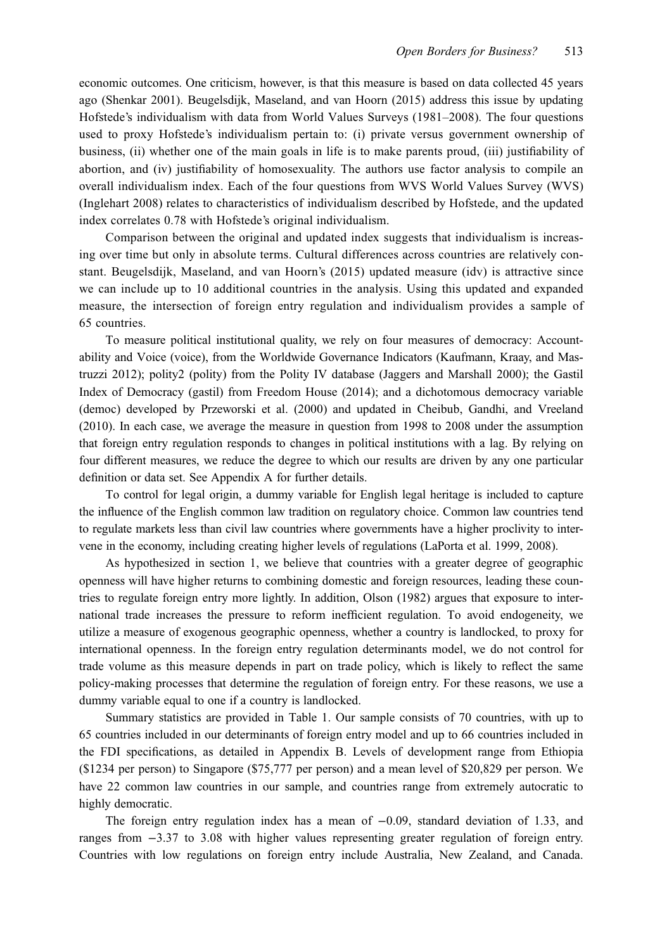economic outcomes. One criticism, however, is that this measure is based on data collected 45 years ago (Shenkar 2001). Beugelsdijk, Maseland, and van Hoorn (2015) address this issue by updating Hofstede's individualism with data from World Values Surveys (1981–2008). The four questions used to proxy Hofstede's individualism pertain to: (i) private versus government ownership of business, (ii) whether one of the main goals in life is to make parents proud, (iii) justifiability of abortion, and (iv) justifiability of homosexuality. The authors use factor analysis to compile an overall individualism index. Each of the four questions from WVS World Values Survey (WVS) (Inglehart 2008) relates to characteristics of individualism described by Hofstede, and the updated index correlates 0.78 with Hofstede's original individualism.

Comparison between the original and updated index suggests that individualism is increasing over time but only in absolute terms. Cultural differences across countries are relatively constant. Beugelsdijk, Maseland, and van Hoorn's (2015) updated measure (idv) is attractive since we can include up to 10 additional countries in the analysis. Using this updated and expanded measure, the intersection of foreign entry regulation and individualism provides a sample of 65 countries.

To measure political institutional quality, we rely on four measures of democracy: Accountability and Voice (voice), from the Worldwide Governance Indicators (Kaufmann, Kraay, and Mastruzzi 2012); polity2 (polity) from the Polity IV database (Jaggers and Marshall 2000); the Gastil Index of Democracy (gastil) from Freedom House (2014); and a dichotomous democracy variable (democ) developed by Przeworski et al. (2000) and updated in Cheibub, Gandhi, and Vreeland (2010). In each case, we average the measure in question from 1998 to 2008 under the assumption that foreign entry regulation responds to changes in political institutions with a lag. By relying on four different measures, we reduce the degree to which our results are driven by any one particular definition or data set. See Appendix A for further details.

To control for legal origin, a dummy variable for English legal heritage is included to capture the influence of the English common law tradition on regulatory choice. Common law countries tend to regulate markets less than civil law countries where governments have a higher proclivity to intervene in the economy, including creating higher levels of regulations (LaPorta et al. 1999, 2008).

As hypothesized in section 1, we believe that countries with a greater degree of geographic openness will have higher returns to combining domestic and foreign resources, leading these countries to regulate foreign entry more lightly. In addition, Olson (1982) argues that exposure to international trade increases the pressure to reform inefficient regulation. To avoid endogeneity, we utilize a measure of exogenous geographic openness, whether a country is landlocked, to proxy for international openness. In the foreign entry regulation determinants model, we do not control for trade volume as this measure depends in part on trade policy, which is likely to reflect the same policy-making processes that determine the regulation of foreign entry. For these reasons, we use a dummy variable equal to one if a country is landlocked.

Summary statistics are provided in Table 1. Our sample consists of 70 countries, with up to 65 countries included in our determinants of foreign entry model and up to 66 countries included in the FDI specifications, as detailed in Appendix B. Levels of development range from Ethiopia (\$1234 per person) to Singapore (\$75,777 per person) and a mean level of \$20,829 per person. We have 22 common law countries in our sample, and countries range from extremely autocratic to highly democratic.

The foreign entry regulation index has a mean of −0.09, standard deviation of 1.33, and ranges from −3.37 to 3.08 with higher values representing greater regulation of foreign entry. Countries with low regulations on foreign entry include Australia, New Zealand, and Canada.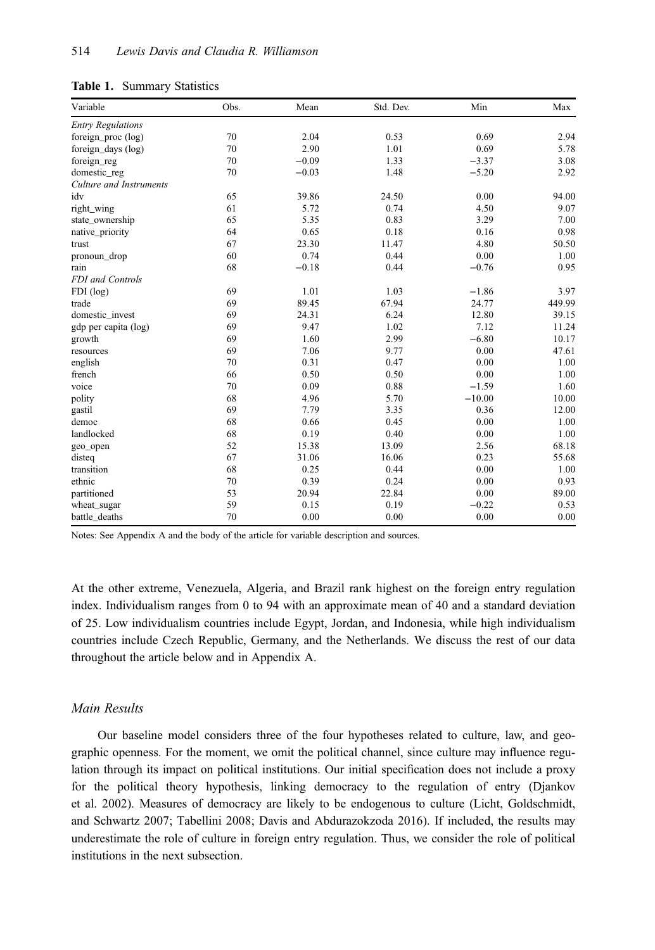#### Table 1. Summary Statistics

| Variable                 | Obs. | Mean    | Std. Dev. | Min      | Max    |
|--------------------------|------|---------|-----------|----------|--------|
| <b>Entry Regulations</b> |      |         |           |          |        |
| foreign_proc (log)       | 70   | 2.04    | 0.53      | 0.69     | 2.94   |
| foreign_days (log)       | 70   | 2.90    | 1.01      | 0.69     | 5.78   |
| foreign_reg              | 70   | $-0.09$ | 1.33      | $-3.37$  | 3.08   |
| domestic_reg             | 70   | $-0.03$ | 1.48      | $-5.20$  | 2.92   |
| Culture and Instruments  |      |         |           |          |        |
| idv                      | 65   | 39.86   | 24.50     | 0.00     | 94.00  |
| right_wing               | 61   | 5.72    | 0.74      | 4.50     | 9.07   |
| state_ownership          | 65   | 5.35    | 0.83      | 3.29     | 7.00   |
| native_priority          | 64   | 0.65    | 0.18      | 0.16     | 0.98   |
| trust                    | 67   | 23.30   | 11.47     | 4.80     | 50.50  |
| pronoun_drop             | 60   | 0.74    | 0.44      | 0.00     | 1.00   |
| rain                     | 68   | $-0.18$ | 0.44      | $-0.76$  | 0.95   |
| FDI and Controls         |      |         |           |          |        |
| $FDI$ (log)              | 69   | 1.01    | 1.03      | $-1.86$  | 3.97   |
| trade                    | 69   | 89.45   | 67.94     | 24.77    | 449.99 |
| domestic_invest          | 69   | 24.31   | 6.24      | 12.80    | 39.15  |
| gdp per capita (log)     | 69   | 9.47    | 1.02      | 7.12     | 11.24  |
| growth                   | 69   | 1.60    | 2.99      | $-6.80$  | 10.17  |
| resources                | 69   | 7.06    | 9.77      | 0.00     | 47.61  |
| english                  | 70   | 0.31    | 0.47      | 0.00     | 1.00   |
| french                   | 66   | 0.50    | 0.50      | 0.00     | 1.00   |
| voice                    | 70   | 0.09    | 0.88      | $-1.59$  | 1.60   |
| polity                   | 68   | 4.96    | 5.70      | $-10.00$ | 10.00  |
| gastil                   | 69   | 7.79    | 3.35      | 0.36     | 12.00  |
| democ                    | 68   | 0.66    | 0.45      | 0.00     | 1.00   |
| landlocked               | 68   | 0.19    | 0.40      | 0.00     | 1.00   |
| geo_open                 | 52   | 15.38   | 13.09     | 2.56     | 68.18  |
| disteq                   | 67   | 31.06   | 16.06     | 0.23     | 55.68  |
| transition               | 68   | 0.25    | 0.44      | 0.00     | 1.00   |
| ethnic                   | 70   | 0.39    | 0.24      | 0.00     | 0.93   |
| partitioned              | 53   | 20.94   | 22.84     | 0.00     | 89.00  |
| wheat_sugar              | 59   | 0.15    | 0.19      | $-0.22$  | 0.53   |
| battle_deaths            | 70   | 0.00    | 0.00      | 0.00     | 0.00   |

Notes: See Appendix A and the body of the article for variable description and sources.

At the other extreme, Venezuela, Algeria, and Brazil rank highest on the foreign entry regulation index. Individualism ranges from 0 to 94 with an approximate mean of 40 and a standard deviation of 25. Low individualism countries include Egypt, Jordan, and Indonesia, while high individualism countries include Czech Republic, Germany, and the Netherlands. We discuss the rest of our data throughout the article below and in Appendix A.

#### Main Results

Our baseline model considers three of the four hypotheses related to culture, law, and geographic openness. For the moment, we omit the political channel, since culture may influence regulation through its impact on political institutions. Our initial specification does not include a proxy for the political theory hypothesis, linking democracy to the regulation of entry (Djankov et al. 2002). Measures of democracy are likely to be endogenous to culture (Licht, Goldschmidt, and Schwartz 2007; Tabellini 2008; Davis and Abdurazokzoda 2016). If included, the results may underestimate the role of culture in foreign entry regulation. Thus, we consider the role of political institutions in the next subsection.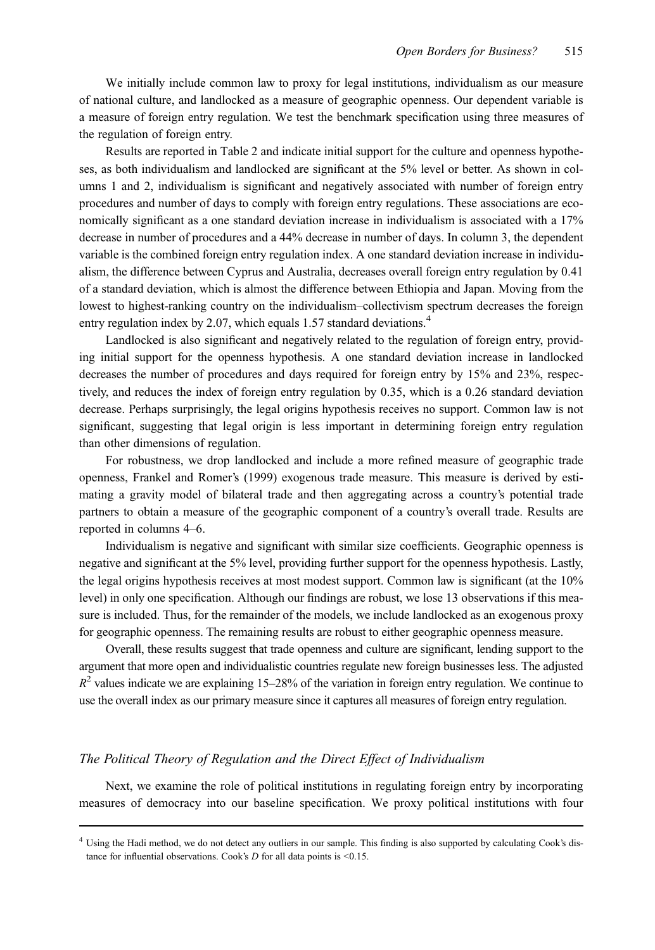We initially include common law to proxy for legal institutions, individualism as our measure of national culture, and landlocked as a measure of geographic openness. Our dependent variable is a measure of foreign entry regulation. We test the benchmark specification using three measures of the regulation of foreign entry.

Results are reported in Table 2 and indicate initial support for the culture and openness hypotheses, as both individualism and landlocked are significant at the 5% level or better. As shown in columns 1 and 2, individualism is significant and negatively associated with number of foreign entry procedures and number of days to comply with foreign entry regulations. These associations are economically significant as a one standard deviation increase in individualism is associated with a 17% decrease in number of procedures and a 44% decrease in number of days. In column 3, the dependent variable is the combined foreign entry regulation index. A one standard deviation increase in individualism, the difference between Cyprus and Australia, decreases overall foreign entry regulation by 0.41 of a standard deviation, which is almost the difference between Ethiopia and Japan. Moving from the lowest to highest-ranking country on the individualism–collectivism spectrum decreases the foreign entry regulation index by 2.07, which equals 1.57 standard deviations.<sup>4</sup>

Landlocked is also significant and negatively related to the regulation of foreign entry, providing initial support for the openness hypothesis. A one standard deviation increase in landlocked decreases the number of procedures and days required for foreign entry by 15% and 23%, respectively, and reduces the index of foreign entry regulation by 0.35, which is a 0.26 standard deviation decrease. Perhaps surprisingly, the legal origins hypothesis receives no support. Common law is not significant, suggesting that legal origin is less important in determining foreign entry regulation than other dimensions of regulation.

For robustness, we drop landlocked and include a more refined measure of geographic trade openness, Frankel and Romer's (1999) exogenous trade measure. This measure is derived by estimating a gravity model of bilateral trade and then aggregating across a country's potential trade partners to obtain a measure of the geographic component of a country's overall trade. Results are reported in columns 4–6.

Individualism is negative and significant with similar size coefficients. Geographic openness is negative and significant at the 5% level, providing further support for the openness hypothesis. Lastly, the legal origins hypothesis receives at most modest support. Common law is significant (at the 10% level) in only one specification. Although our findings are robust, we lose 13 observations if this measure is included. Thus, for the remainder of the models, we include landlocked as an exogenous proxy for geographic openness. The remaining results are robust to either geographic openness measure.

Overall, these results suggest that trade openness and culture are significant, lending support to the argument that more open and individualistic countries regulate new foreign businesses less. The adjusted  $R<sup>2</sup>$  values indicate we are explaining 15–28% of the variation in foreign entry regulation. We continue to use the overall index as our primary measure since it captures all measures of foreign entry regulation.

### The Political Theory of Regulation and the Direct Effect of Individualism

Next, we examine the role of political institutions in regulating foreign entry by incorporating measures of democracy into our baseline specification. We proxy political institutions with four

<sup>4</sup> Using the Hadi method, we do not detect any outliers in our sample. This finding is also supported by calculating Cook's distance for influential observations. Cook's  $D$  for all data points is <0.15.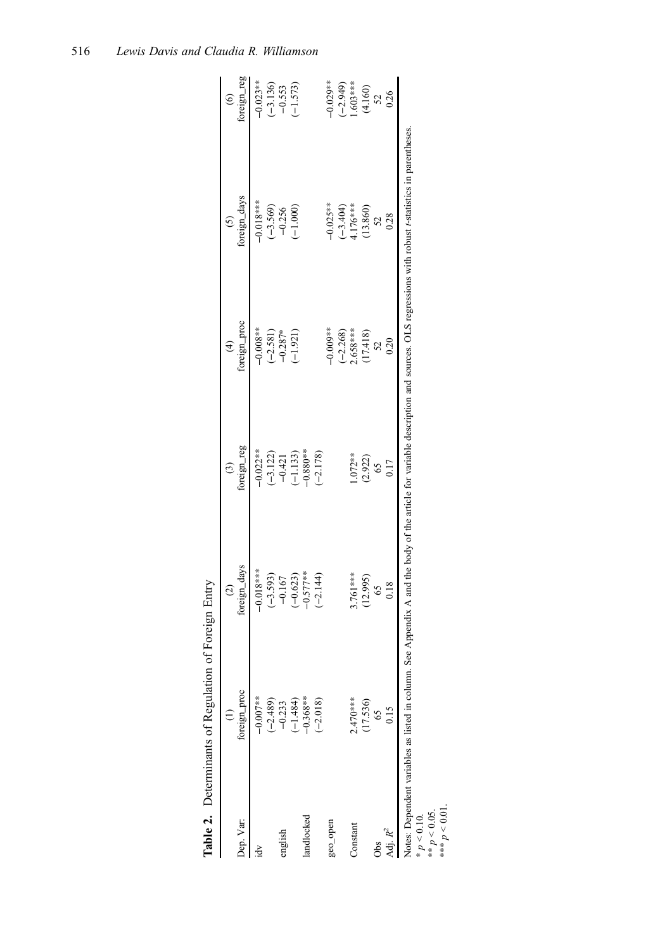|                     | Table 2. Determinants of Regulation             | of Foreign Entry                                                                                                                          |                                                   |                         |                        |                        |
|---------------------|-------------------------------------------------|-------------------------------------------------------------------------------------------------------------------------------------------|---------------------------------------------------|-------------------------|------------------------|------------------------|
|                     |                                                 | $\widehat{c}$                                                                                                                             | $\odot$                                           | $\widehat{\mathcal{F}}$ | $\odot$                | $\widehat{\mathbf{e}}$ |
| Dep. Var:           | foreign_proc                                    | foreign_days                                                                                                                              | foreign_reg                                       | foreign_proc            | foreign_days           | foreign_reg            |
| ă                   | $-0.007**$                                      | $-0.018***$                                                                                                                               | $-0.022**$                                        | $-0.008**$              | $-0.018***$            | $-0.023**$             |
|                     | $(-2.489)$                                      | $(-3.593)$                                                                                                                                |                                                   | $(-2.581)$              | $(-3.569)$             |                        |
| english             | $-0.233$                                        | $-0.167$                                                                                                                                  | $\begin{array}{c} (-3.122) \\ -0.421 \end{array}$ | $-0.287*$               | $-0.256$               | $(-3.136)$<br>-0.553   |
|                     | $(-1.484)$                                      | $(-0.623)$                                                                                                                                | $(-1.133)$                                        | $(-1.921)$              | $(-1.000)$             | $(-1.573)$             |
| landlocked          | $-0.368**$                                      | $-0.577***$                                                                                                                               | $-0.880**$                                        |                         |                        |                        |
|                     | $(-2.018)$                                      | $(-2.144)$                                                                                                                                | $(-2.178)$                                        |                         |                        |                        |
| geo_open            |                                                 |                                                                                                                                           |                                                   | $-0.009**$              | $-0.025**$             | $-0.029**$             |
|                     |                                                 |                                                                                                                                           |                                                   |                         |                        |                        |
| Constant            | $2.470***$                                      | ***197                                                                                                                                    | $1.072**$                                         | $(-2.268)$<br>2.658***  | $(-3.404)$<br>4.176*** | $(-2.949)$<br>1.603*** |
|                     | (17.536)                                        | (12.995)                                                                                                                                  | (2.922)                                           | $(17.418)$<br>52        | $(13.860)$<br>$52$     | $(4.160)$<br>52        |
| Obs                 |                                                 | 65                                                                                                                                        |                                                   |                         |                        |                        |
| Adj. R <sup>2</sup> |                                                 | 0.18                                                                                                                                      | 0.17                                              | 0.20                    | 0.28                   | 0.26                   |
| n < 0.10            | Notes: Dependent variables as listed in column. | See Appendix A and the body of the article for variable description and sources. OLS regressions with robust t-statistics in parentheses. |                                                   |                         |                        |                        |

 $p > 0.101$ <br>\*\*  $p < 0.05$ .<br>\*\*\*  $p < 0.01$ . \*\*  $p < 0.05$ .

\*\*\*  $p < 0.01$ .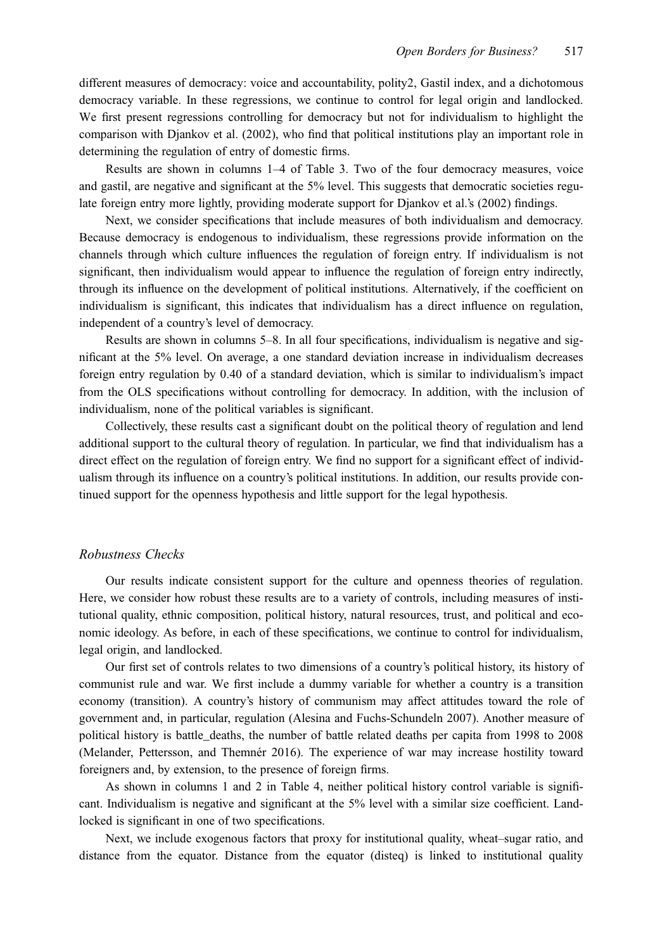different measures of democracy: voice and accountability, polity2, Gastil index, and a dichotomous democracy variable. In these regressions, we continue to control for legal origin and landlocked. We first present regressions controlling for democracy but not for individualism to highlight the comparison with Djankov et al. (2002), who find that political institutions play an important role in determining the regulation of entry of domestic firms.

Results are shown in columns 1–4 of Table 3. Two of the four democracy measures, voice and gastil, are negative and significant at the 5% level. This suggests that democratic societies regulate foreign entry more lightly, providing moderate support for Djankov et al.'s (2002) findings.

Next, we consider specifications that include measures of both individualism and democracy. Because democracy is endogenous to individualism, these regressions provide information on the channels through which culture influences the regulation of foreign entry. If individualism is not significant, then individualism would appear to influence the regulation of foreign entry indirectly, through its influence on the development of political institutions. Alternatively, if the coefficient on individualism is significant, this indicates that individualism has a direct influence on regulation, independent of a country's level of democracy.

Results are shown in columns 5–8. In all four specifications, individualism is negative and significant at the 5% level. On average, a one standard deviation increase in individualism decreases foreign entry regulation by 0.40 of a standard deviation, which is similar to individualism's impact from the OLS specifications without controlling for democracy. In addition, with the inclusion of individualism, none of the political variables is significant.

Collectively, these results cast a significant doubt on the political theory of regulation and lend additional support to the cultural theory of regulation. In particular, we find that individualism has a direct effect on the regulation of foreign entry. We find no support for a significant effect of individualism through its influence on a country's political institutions. In addition, our results provide continued support for the openness hypothesis and little support for the legal hypothesis.

#### Robustness Checks

Our results indicate consistent support for the culture and openness theories of regulation. Here, we consider how robust these results are to a variety of controls, including measures of institutional quality, ethnic composition, political history, natural resources, trust, and political and economic ideology. As before, in each of these specifications, we continue to control for individualism, legal origin, and landlocked.

Our first set of controls relates to two dimensions of a country's political history, its history of communist rule and war. We first include a dummy variable for whether a country is a transition economy (transition). A country's history of communism may affect attitudes toward the role of government and, in particular, regulation (Alesina and Fuchs-Schundeln 2007). Another measure of political history is battle\_deaths, the number of battle related deaths per capita from 1998 to 2008 (Melander, Pettersson, and Themnér 2016). The experience of war may increase hostility toward foreigners and, by extension, to the presence of foreign firms.

As shown in columns 1 and 2 in Table 4, neither political history control variable is significant. Individualism is negative and significant at the 5% level with a similar size coefficient. Landlocked is significant in one of two specifications.

Next, we include exogenous factors that proxy for institutional quality, wheat–sugar ratio, and distance from the equator. Distance from the equator (disteq) is linked to institutional quality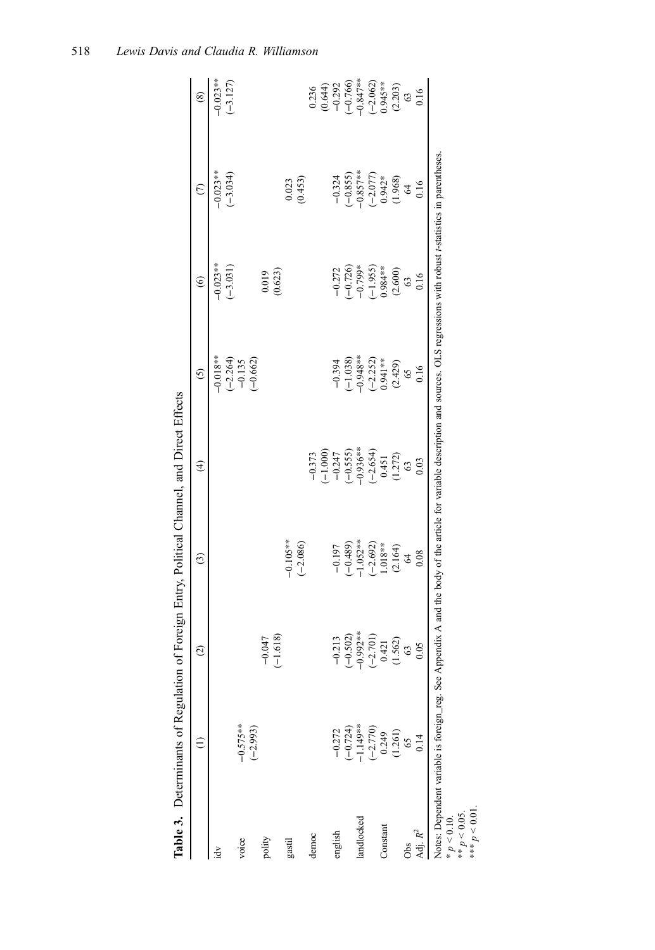|                                                   |                                                                                              | )                                                |                                                                                                                                                                                     |                                                                                                                                         |                                      |                                      |                                                                  |                                                                                      |
|---------------------------------------------------|----------------------------------------------------------------------------------------------|--------------------------------------------------|-------------------------------------------------------------------------------------------------------------------------------------------------------------------------------------|-----------------------------------------------------------------------------------------------------------------------------------------|--------------------------------------|--------------------------------------|------------------------------------------------------------------|--------------------------------------------------------------------------------------|
|                                                   |                                                                                              | $\widehat{c}$                                    | $\odot$                                                                                                                                                                             | $\widehat{\mathcal{F}}$                                                                                                                 | $\overline{c}$                       | $\widehat{\mathbf{e}}$               | $\widehat{\in}$                                                  | $\circledast$                                                                        |
| $\frac{1}{2}$                                     |                                                                                              |                                                  |                                                                                                                                                                                     |                                                                                                                                         | $-0.018**$                           | $-0.023**$                           | $-0.023**$                                                       | $-0.023**$                                                                           |
|                                                   |                                                                                              |                                                  |                                                                                                                                                                                     |                                                                                                                                         |                                      | $(-3.031)$                           | $(-3.034)$                                                       | $(-3.127)$                                                                           |
| voice                                             |                                                                                              |                                                  |                                                                                                                                                                                     |                                                                                                                                         |                                      |                                      |                                                                  |                                                                                      |
|                                                   | $-0.575**$<br>$(-2.993)$                                                                     |                                                  |                                                                                                                                                                                     |                                                                                                                                         | $(-2.264)$<br>$-0.135$<br>$(-0.662)$ |                                      |                                                                  |                                                                                      |
| polity                                            |                                                                                              | $-0.047$                                         |                                                                                                                                                                                     |                                                                                                                                         |                                      |                                      |                                                                  |                                                                                      |
|                                                   |                                                                                              | $(-1.618)$                                       |                                                                                                                                                                                     |                                                                                                                                         |                                      | $(0.019)$<br>$(0.623)$               |                                                                  |                                                                                      |
| gastil                                            |                                                                                              |                                                  | $-0.105**$                                                                                                                                                                          |                                                                                                                                         |                                      |                                      | 0.023                                                            |                                                                                      |
|                                                   |                                                                                              |                                                  | $(-2.086)$                                                                                                                                                                          |                                                                                                                                         |                                      |                                      | (0.453)                                                          |                                                                                      |
| democ                                             |                                                                                              |                                                  |                                                                                                                                                                                     |                                                                                                                                         |                                      |                                      |                                                                  |                                                                                      |
|                                                   |                                                                                              |                                                  |                                                                                                                                                                                     | $\begin{array}{c} -0.373 \\ (-1.000) \\ -0.247 \\ -0.555 \\ -0.936^{**} \\ -0.936^{**} \\ -0.451 \\ 0.451 \\ (1.272) \\ 63 \end{array}$ |                                      |                                      |                                                                  | $0.236$<br>$(0.644)$<br>$-0.292$<br>$-0.766$<br>$-0.847**$<br>$-0.845**$<br>$-0.062$ |
| english                                           |                                                                                              | $-0.213$                                         | $-0.197$<br>$(-0.489)$<br>$-1.052**$                                                                                                                                                |                                                                                                                                         | $-0.394$<br>$(-1.038)$<br>$-0.948**$ |                                      |                                                                  |                                                                                      |
|                                                   |                                                                                              | $(-0.502)$                                       |                                                                                                                                                                                     |                                                                                                                                         |                                      |                                      |                                                                  |                                                                                      |
| landlocked                                        |                                                                                              | $-0.992**$                                       |                                                                                                                                                                                     |                                                                                                                                         |                                      | $-0.272$<br>$(-0.726)$<br>$-0.799$ * |                                                                  |                                                                                      |
|                                                   |                                                                                              | $\begin{array}{c} (-2.701) \\ 0.421 \end{array}$ |                                                                                                                                                                                     |                                                                                                                                         | $(-2.252)$<br>0.941**                | $(-1.955)$<br>0.984**                | $-0.324$<br>$(-0.855)$<br>$-0.857**$<br>$(-2.077)$<br>$(-2.077)$ |                                                                                      |
| Constant                                          |                                                                                              |                                                  | $(-2.692)$<br>1.018**                                                                                                                                                               |                                                                                                                                         |                                      |                                      |                                                                  |                                                                                      |
|                                                   | $-0.272$<br>$(-0.724)$<br>$-1.149$ **<br>$-1.770$<br>$-2.770$<br>$0.249$<br>$0.56$<br>$0.14$ | (1.562)                                          | (2.164)                                                                                                                                                                             |                                                                                                                                         |                                      | $(2.600)$<br>$63$<br>$0.16$          | $(1.968)$<br>$64$<br>$0.16$                                      | $(2.203)$<br>$63$<br>$0.16$                                                          |
| Obs                                               |                                                                                              | 63                                               | $\mathcal{L}$                                                                                                                                                                       |                                                                                                                                         | (2.429)                              |                                      |                                                                  |                                                                                      |
| Adj. R <sup>2</sup>                               |                                                                                              | 0.05                                             | 0.08                                                                                                                                                                                | 0.03                                                                                                                                    | 0.16                                 |                                      |                                                                  |                                                                                      |
| *** $p < 0.01$<br>** $p < 0.05$ .<br>$p < 0.10$ . |                                                                                              |                                                  | Notes: Dependent variable is foreign_reg. See Appendix A and the body of the article for variable description and sources. OLS regressions with robust t-statistics in parentheses. |                                                                                                                                         |                                      |                                      |                                                                  |                                                                                      |

Table 3. Determinants of Regulation of Foreign Entry, Political Channel, and Direct Effects Table 3. Determinants of Regulation of Foreign Entry, Political Channel, and Direct Effects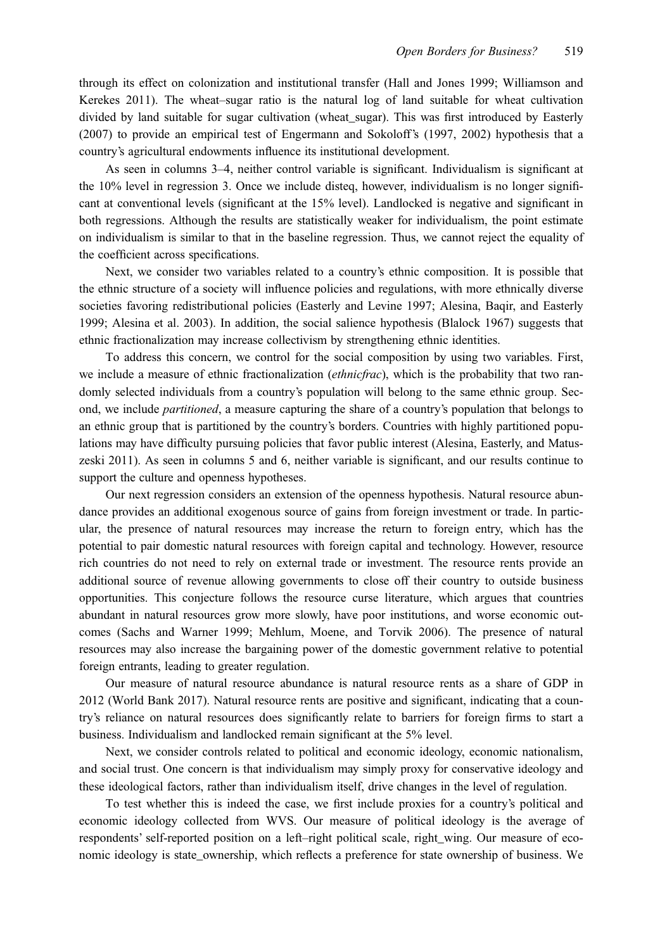through its effect on colonization and institutional transfer (Hall and Jones 1999; Williamson and Kerekes 2011). The wheat–sugar ratio is the natural log of land suitable for wheat cultivation divided by land suitable for sugar cultivation (wheat\_sugar). This was first introduced by Easterly (2007) to provide an empirical test of Engermann and Sokoloff's (1997, 2002) hypothesis that a country's agricultural endowments influence its institutional development.

As seen in columns 3–4, neither control variable is significant. Individualism is significant at the 10% level in regression 3. Once we include disteq, however, individualism is no longer significant at conventional levels (significant at the 15% level). Landlocked is negative and significant in both regressions. Although the results are statistically weaker for individualism, the point estimate on individualism is similar to that in the baseline regression. Thus, we cannot reject the equality of the coefficient across specifications.

Next, we consider two variables related to a country's ethnic composition. It is possible that the ethnic structure of a society will influence policies and regulations, with more ethnically diverse societies favoring redistributional policies (Easterly and Levine 1997; Alesina, Baqir, and Easterly 1999; Alesina et al. 2003). In addition, the social salience hypothesis (Blalock 1967) suggests that ethnic fractionalization may increase collectivism by strengthening ethnic identities.

To address this concern, we control for the social composition by using two variables. First, we include a measure of ethnic fractionalization (*ethnicfrac*), which is the probability that two randomly selected individuals from a country's population will belong to the same ethnic group. Second, we include partitioned, a measure capturing the share of a country's population that belongs to an ethnic group that is partitioned by the country's borders. Countries with highly partitioned populations may have difficulty pursuing policies that favor public interest (Alesina, Easterly, and Matuszeski 2011). As seen in columns 5 and 6, neither variable is significant, and our results continue to support the culture and openness hypotheses.

Our next regression considers an extension of the openness hypothesis. Natural resource abundance provides an additional exogenous source of gains from foreign investment or trade. In particular, the presence of natural resources may increase the return to foreign entry, which has the potential to pair domestic natural resources with foreign capital and technology. However, resource rich countries do not need to rely on external trade or investment. The resource rents provide an additional source of revenue allowing governments to close off their country to outside business opportunities. This conjecture follows the resource curse literature, which argues that countries abundant in natural resources grow more slowly, have poor institutions, and worse economic outcomes (Sachs and Warner 1999; Mehlum, Moene, and Torvik 2006). The presence of natural resources may also increase the bargaining power of the domestic government relative to potential foreign entrants, leading to greater regulation.

Our measure of natural resource abundance is natural resource rents as a share of GDP in 2012 (World Bank 2017). Natural resource rents are positive and significant, indicating that a country's reliance on natural resources does significantly relate to barriers for foreign firms to start a business. Individualism and landlocked remain significant at the 5% level.

Next, we consider controls related to political and economic ideology, economic nationalism, and social trust. One concern is that individualism may simply proxy for conservative ideology and these ideological factors, rather than individualism itself, drive changes in the level of regulation.

To test whether this is indeed the case, we first include proxies for a country's political and economic ideology collected from WVS. Our measure of political ideology is the average of respondents' self-reported position on a left–right political scale, right\_wing. Our measure of economic ideology is state\_ownership, which reflects a preference for state ownership of business. We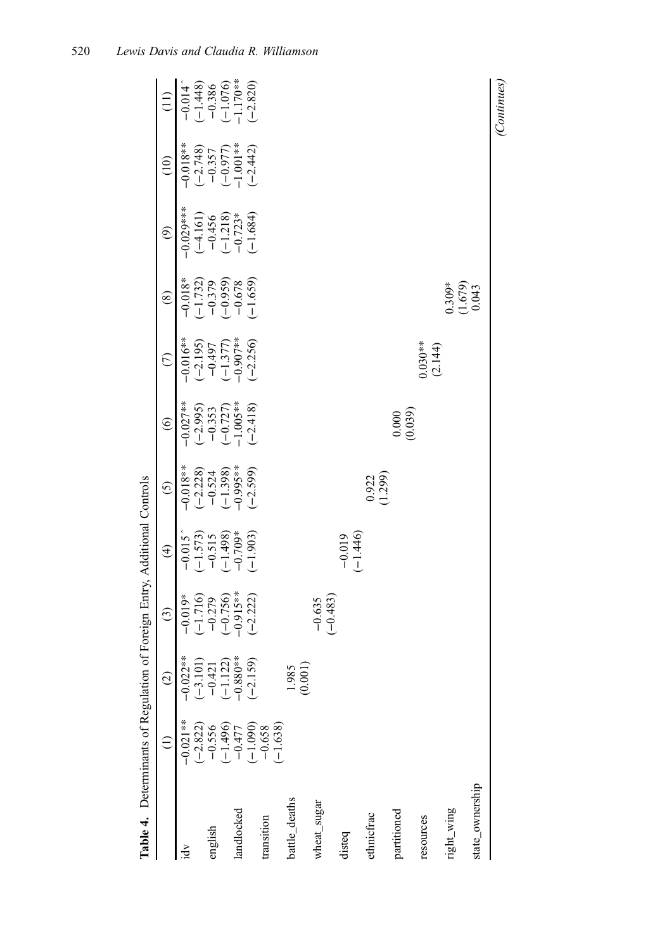| Table 4. Determinants of Regulation |                                    |                                                                 | of Foreign Entry, Additional Controls                          |                                                                |                                                                                                |                                                                                |                                                                               |                                                                |                                                   |                                                                   |                                                                                    |
|-------------------------------------|------------------------------------|-----------------------------------------------------------------|----------------------------------------------------------------|----------------------------------------------------------------|------------------------------------------------------------------------------------------------|--------------------------------------------------------------------------------|-------------------------------------------------------------------------------|----------------------------------------------------------------|---------------------------------------------------|-------------------------------------------------------------------|------------------------------------------------------------------------------------|
|                                     |                                    | $\widehat{c}$                                                   | $\odot$                                                        | $\widehat{\mathcal{F}}$                                        | $\odot$                                                                                        | $\odot$                                                                        | $\widehat{C}$                                                                 | $\circledS$                                                    | $\circledcirc$                                    | (10)                                                              | $\frac{1}{2}$                                                                      |
| ă                                   | $-0.021**$                         | $-0.022**$                                                      | $-0.019*$                                                      | $-0.015$                                                       | $-0.018**$<br>$(-2.228)$<br>$(-1.324)$<br>$(-1.398)$<br>$(-1.398)$<br>$(-1.396)$<br>$(-2.599)$ |                                                                                |                                                                               | $-0.018*$                                                      | $-0.029***$                                       | $-0.018**$                                                        |                                                                                    |
|                                     | $(-2.822)$<br>$-0.556$             |                                                                 |                                                                |                                                                |                                                                                                |                                                                                |                                                                               |                                                                |                                                   |                                                                   |                                                                                    |
| english                             |                                    |                                                                 |                                                                |                                                                |                                                                                                |                                                                                |                                                                               |                                                                |                                                   |                                                                   |                                                                                    |
|                                     | $(-1.496)$                         |                                                                 |                                                                |                                                                |                                                                                                |                                                                                |                                                                               |                                                                |                                                   |                                                                   |                                                                                    |
| landlocked                          |                                    |                                                                 |                                                                |                                                                |                                                                                                |                                                                                |                                                                               |                                                                | $(-4.161)$<br>$-0.456$<br>$(-1.218)$<br>$-0.723*$ |                                                                   |                                                                                    |
|                                     | $-0.477$<br>$(-1.090)$<br>$-0.658$ | $(-3.101)$<br>$-0.421$<br>$(-1.122)$<br>$-0.880**$<br>$-0.80**$ | $(-1.716)$<br>$-0.279$<br>$(-0.756)$<br>$-0.915**$<br>$-0.222$ | $(-1.573)$<br>$-0.515$<br>$(-1.498)$<br>$-0.709*$<br>$-0.709*$ |                                                                                                | $-0.027**$<br>$(-2.995)$<br>$-0.353$<br>$(-0.727)$<br>$-1.005**$<br>$(-2.418)$ | $-0.016**$<br>$(-2.195)$<br>$-0.497$<br>$-1.377$<br>$(-1.377)$<br>$(-0.907**$ | $(-1.732)$<br>$-0.379$<br>$(-0.959)$<br>$-0.678$<br>$(-1.659)$ | $(-1.684)$                                        | $(-2.748)$<br>$-0.357$<br>$(-0.977)$<br>$-1.001$ **<br>$(-2.442)$ | $-0.014$<br>$-1.448$<br>$-1.448$<br>$-1.586$<br>$-1.076$<br>$-1.70**$<br>$-1.70**$ |
| transition                          | $-1.638$                           |                                                                 |                                                                |                                                                |                                                                                                |                                                                                |                                                                               |                                                                |                                                   |                                                                   |                                                                                    |
| battle_deaths                       |                                    | $\frac{1.985}{(0.001)}$                                         |                                                                |                                                                |                                                                                                |                                                                                |                                                                               |                                                                |                                                   |                                                                   |                                                                                    |
| wheat_sugar                         |                                    |                                                                 | $-0.635$<br>$(-0.483)$                                         |                                                                |                                                                                                |                                                                                |                                                                               |                                                                |                                                   |                                                                   |                                                                                    |
| disteq                              |                                    |                                                                 |                                                                | $-0.019$<br>$(-1.446)$                                         |                                                                                                |                                                                                |                                                                               |                                                                |                                                   |                                                                   |                                                                                    |
| ethnicfrac                          |                                    |                                                                 |                                                                |                                                                | (1.299)                                                                                        |                                                                                |                                                                               |                                                                |                                                   |                                                                   |                                                                                    |
| partitioned                         |                                    |                                                                 |                                                                |                                                                |                                                                                                | (0.000)                                                                        |                                                                               |                                                                |                                                   |                                                                   |                                                                                    |
| resources                           |                                    |                                                                 |                                                                |                                                                |                                                                                                |                                                                                | $0.030**$<br>(2.144)                                                          |                                                                |                                                   |                                                                   |                                                                                    |
| right_wing                          |                                    |                                                                 |                                                                |                                                                |                                                                                                |                                                                                |                                                                               |                                                                |                                                   |                                                                   |                                                                                    |
| state_ownership                     |                                    |                                                                 |                                                                |                                                                |                                                                                                |                                                                                |                                                                               | $\begin{array}{c} 0.309* \\ (1.679) \\ 0.043 \end{array}$      |                                                   |                                                                   |                                                                                    |
|                                     |                                    |                                                                 |                                                                |                                                                |                                                                                                |                                                                                |                                                                               |                                                                |                                                   |                                                                   | (Continues)                                                                        |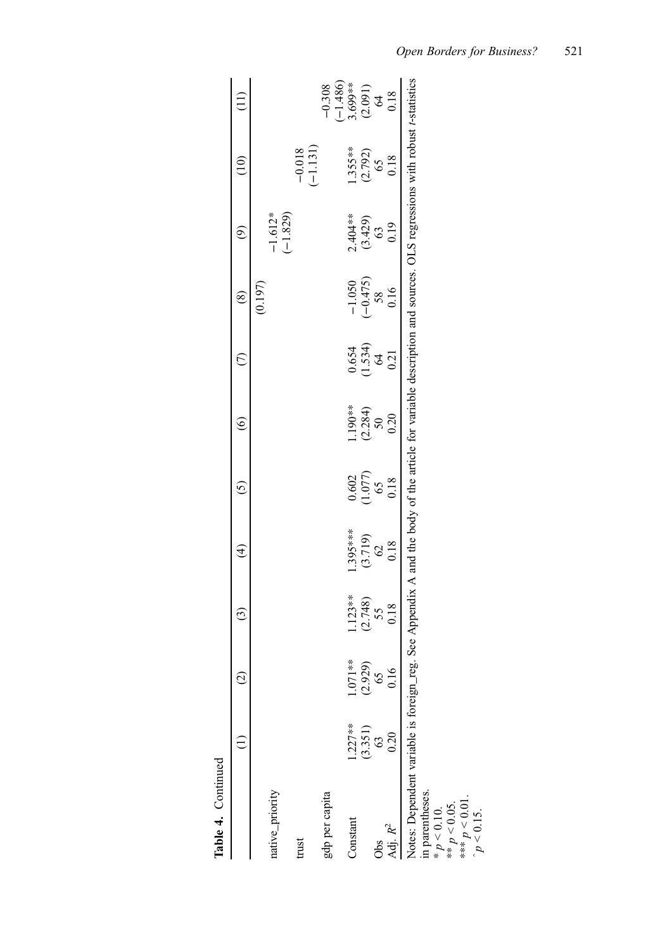| Table 4. Continued                                                                                                                                                  |                   |                 |                        |                   |                         |                             |                          |                                |                            |                        |                                                                     |
|---------------------------------------------------------------------------------------------------------------------------------------------------------------------|-------------------|-----------------|------------------------|-------------------|-------------------------|-----------------------------|--------------------------|--------------------------------|----------------------------|------------------------|---------------------------------------------------------------------|
|                                                                                                                                                                     |                   | $\widehat{c}$   | $\widehat{\mathbf{c}}$ | ⊕                 | $\overline{5}$          | ତ୍ର                         | E                        | $\circledast$                  | ම                          | $\widetilde{\Xi}$      |                                                                     |
|                                                                                                                                                                     |                   |                 |                        |                   |                         |                             |                          | (0.197)                        |                            |                        |                                                                     |
| native_priority                                                                                                                                                     |                   |                 |                        |                   |                         |                             |                          |                                | $-1.612*$                  |                        |                                                                     |
|                                                                                                                                                                     |                   |                 |                        |                   |                         |                             |                          |                                | $(-1.829)$                 |                        |                                                                     |
| trust                                                                                                                                                               |                   |                 |                        |                   |                         |                             |                          |                                |                            | $-0.018$<br>$(-1.131)$ |                                                                     |
|                                                                                                                                                                     |                   |                 |                        |                   |                         |                             |                          |                                |                            |                        |                                                                     |
| gdp per capita                                                                                                                                                      |                   |                 |                        |                   |                         |                             |                          |                                |                            |                        | $-0.308$                                                            |
|                                                                                                                                                                     |                   |                 |                        |                   |                         |                             |                          |                                |                            |                        |                                                                     |
| Constant                                                                                                                                                            | $1.227**$         | $1.071**$       | $.123**$               | $395***$          |                         |                             |                          |                                |                            | $1.355***$             | $\begin{array}{c} (-1.486) \\ 3.699** \\ (2.091) \\ 64 \end{array}$ |
|                                                                                                                                                                     | $(3.351)$<br>$63$ | $(2.929)$<br>65 | $(2.748)$<br>55        | $(3.719)$<br>$62$ | $\frac{0.602}{(1.077)}$ | $1.190***$<br>(2.284)<br>50 | $0.654$<br>(1.534)<br>64 | $-1.050$<br>$(-0.475)$<br>$58$ | $2.404**$<br>(3.429)<br>(3 | (2.792)                |                                                                     |
| Obs                                                                                                                                                                 |                   |                 |                        |                   |                         |                             |                          |                                |                            |                        |                                                                     |
| Adj. $R^2$                                                                                                                                                          | 0.20              | 0.16            | 0.18                   | 0.18              | 0.18                    | 0.20                        | 0.21                     | 0.16                           | 0.19                       | 0.18                   | 0.18                                                                |
| Notes: Dependent variable is foreign_reg. See Appendix A and the body of the article for variable description and sources. OLS regressions with robust t-statistics |                   |                 |                        |                   |                         |                             |                          |                                |                            |                        |                                                                     |
|                                                                                                                                                                     |                   |                 |                        |                   |                         |                             |                          |                                |                            |                        |                                                                     |
| in parentheses.<br>* $p < 0.10$ .<br>** $p < 0.05$ .<br>*** $p < 0.05$ .                                                                                            |                   |                 |                        |                   |                         |                             |                          |                                |                            |                        |                                                                     |
|                                                                                                                                                                     |                   |                 |                        |                   |                         |                             |                          |                                |                            |                        |                                                                     |
|                                                                                                                                                                     |                   |                 |                        |                   |                         |                             |                          |                                |                            |                        |                                                                     |
| $p < 0.15$ .                                                                                                                                                        |                   |                 |                        |                   |                         |                             |                          |                                |                            |                        |                                                                     |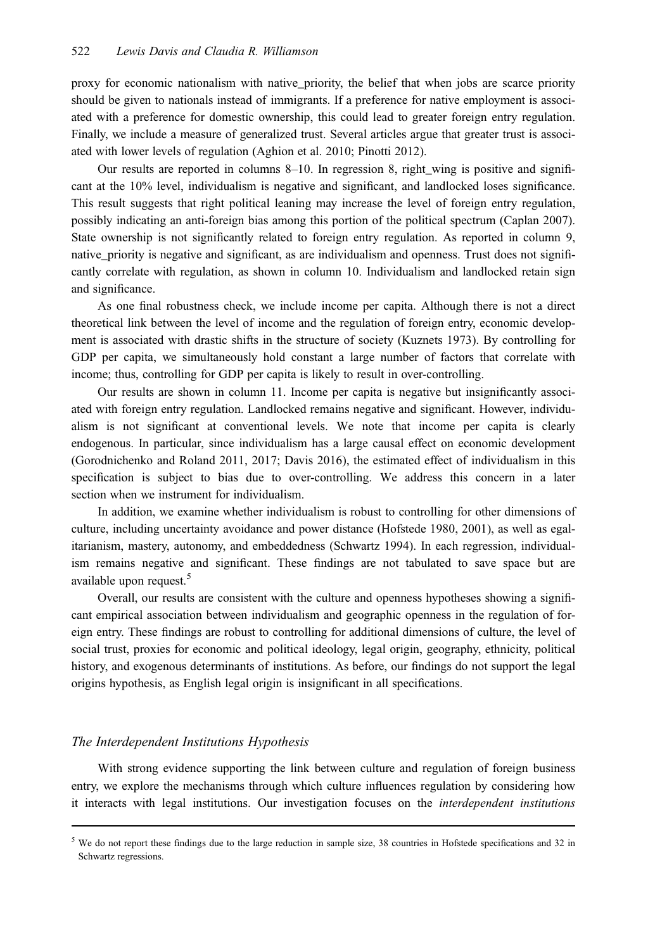proxy for economic nationalism with native\_priority, the belief that when jobs are scarce priority should be given to nationals instead of immigrants. If a preference for native employment is associated with a preference for domestic ownership, this could lead to greater foreign entry regulation. Finally, we include a measure of generalized trust. Several articles argue that greater trust is associated with lower levels of regulation (Aghion et al. 2010; Pinotti 2012).

Our results are reported in columns 8–10. In regression 8, right\_wing is positive and significant at the 10% level, individualism is negative and significant, and landlocked loses significance. This result suggests that right political leaning may increase the level of foreign entry regulation, possibly indicating an anti-foreign bias among this portion of the political spectrum (Caplan 2007). State ownership is not significantly related to foreign entry regulation. As reported in column 9, native\_priority is negative and significant, as are individualism and openness. Trust does not significantly correlate with regulation, as shown in column 10. Individualism and landlocked retain sign and significance.

As one final robustness check, we include income per capita. Although there is not a direct theoretical link between the level of income and the regulation of foreign entry, economic development is associated with drastic shifts in the structure of society (Kuznets 1973). By controlling for GDP per capita, we simultaneously hold constant a large number of factors that correlate with income; thus, controlling for GDP per capita is likely to result in over-controlling.

Our results are shown in column 11. Income per capita is negative but insignificantly associated with foreign entry regulation. Landlocked remains negative and significant. However, individualism is not significant at conventional levels. We note that income per capita is clearly endogenous. In particular, since individualism has a large causal effect on economic development (Gorodnichenko and Roland 2011, 2017; Davis 2016), the estimated effect of individualism in this specification is subject to bias due to over-controlling. We address this concern in a later section when we instrument for individualism.

In addition, we examine whether individualism is robust to controlling for other dimensions of culture, including uncertainty avoidance and power distance (Hofstede 1980, 2001), as well as egalitarianism, mastery, autonomy, and embeddedness (Schwartz 1994). In each regression, individualism remains negative and significant. These findings are not tabulated to save space but are available upon request.<sup>5</sup>

Overall, our results are consistent with the culture and openness hypotheses showing a significant empirical association between individualism and geographic openness in the regulation of foreign entry. These findings are robust to controlling for additional dimensions of culture, the level of social trust, proxies for economic and political ideology, legal origin, geography, ethnicity, political history, and exogenous determinants of institutions. As before, our findings do not support the legal origins hypothesis, as English legal origin is insignificant in all specifications.

# The Interdependent Institutions Hypothesis

With strong evidence supporting the link between culture and regulation of foreign business entry, we explore the mechanisms through which culture influences regulation by considering how it interacts with legal institutions. Our investigation focuses on the interdependent institutions

<sup>&</sup>lt;sup>5</sup> We do not report these findings due to the large reduction in sample size, 38 countries in Hofstede specifications and 32 in Schwartz regressions.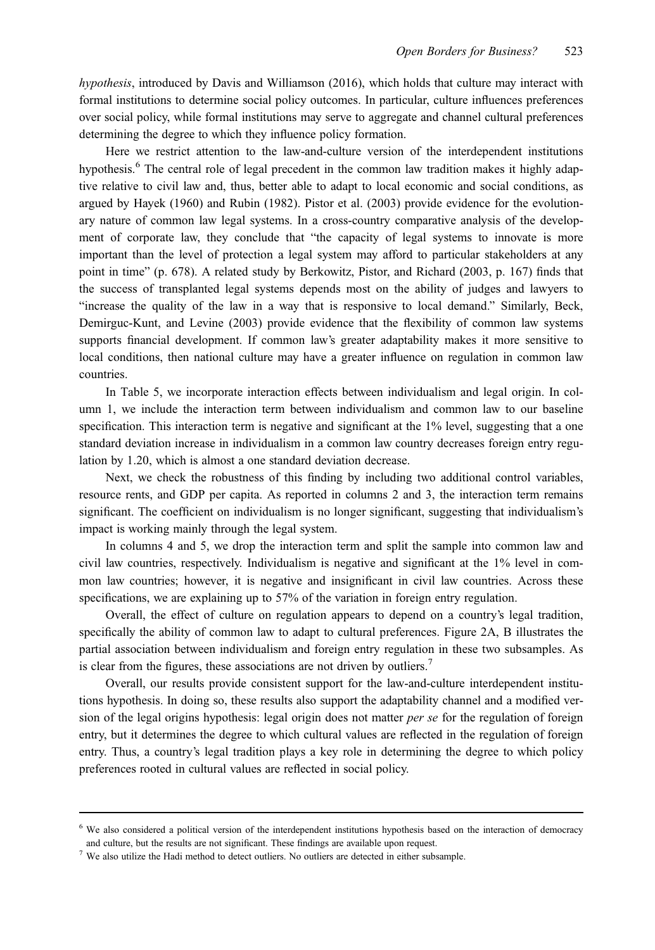hypothesis, introduced by Davis and Williamson (2016), which holds that culture may interact with formal institutions to determine social policy outcomes. In particular, culture influences preferences over social policy, while formal institutions may serve to aggregate and channel cultural preferences determining the degree to which they influence policy formation.

Here we restrict attention to the law-and-culture version of the interdependent institutions hypothesis.<sup>6</sup> The central role of legal precedent in the common law tradition makes it highly adaptive relative to civil law and, thus, better able to adapt to local economic and social conditions, as argued by Hayek (1960) and Rubin (1982). Pistor et al. (2003) provide evidence for the evolutionary nature of common law legal systems. In a cross-country comparative analysis of the development of corporate law, they conclude that "the capacity of legal systems to innovate is more important than the level of protection a legal system may afford to particular stakeholders at any point in time" (p. 678). A related study by Berkowitz, Pistor, and Richard (2003, p. 167) finds that the success of transplanted legal systems depends most on the ability of judges and lawyers to "increase the quality of the law in a way that is responsive to local demand." Similarly, Beck, Demirguc-Kunt, and Levine (2003) provide evidence that the flexibility of common law systems supports financial development. If common law's greater adaptability makes it more sensitive to local conditions, then national culture may have a greater influence on regulation in common law countries.

In Table 5, we incorporate interaction effects between individualism and legal origin. In column 1, we include the interaction term between individualism and common law to our baseline specification. This interaction term is negative and significant at the 1% level, suggesting that a one standard deviation increase in individualism in a common law country decreases foreign entry regulation by 1.20, which is almost a one standard deviation decrease.

Next, we check the robustness of this finding by including two additional control variables, resource rents, and GDP per capita. As reported in columns 2 and 3, the interaction term remains significant. The coefficient on individualism is no longer significant, suggesting that individualism's impact is working mainly through the legal system.

In columns 4 and 5, we drop the interaction term and split the sample into common law and civil law countries, respectively. Individualism is negative and significant at the 1% level in common law countries; however, it is negative and insignificant in civil law countries. Across these specifications, we are explaining up to 57% of the variation in foreign entry regulation.

Overall, the effect of culture on regulation appears to depend on a country's legal tradition, specifically the ability of common law to adapt to cultural preferences. Figure 2A, B illustrates the partial association between individualism and foreign entry regulation in these two subsamples. As is clear from the figures, these associations are not driven by outliers.<sup>7</sup>

Overall, our results provide consistent support for the law-and-culture interdependent institutions hypothesis. In doing so, these results also support the adaptability channel and a modified version of the legal origins hypothesis: legal origin does not matter *per se* for the regulation of foreign entry, but it determines the degree to which cultural values are reflected in the regulation of foreign entry. Thus, a country's legal tradition plays a key role in determining the degree to which policy preferences rooted in cultural values are reflected in social policy.

<sup>6</sup> We also considered a political version of the interdependent institutions hypothesis based on the interaction of democracy and culture, but the results are not significant. These findings are available upon request.

<sup>7</sup> We also utilize the Hadi method to detect outliers. No outliers are detected in either subsample.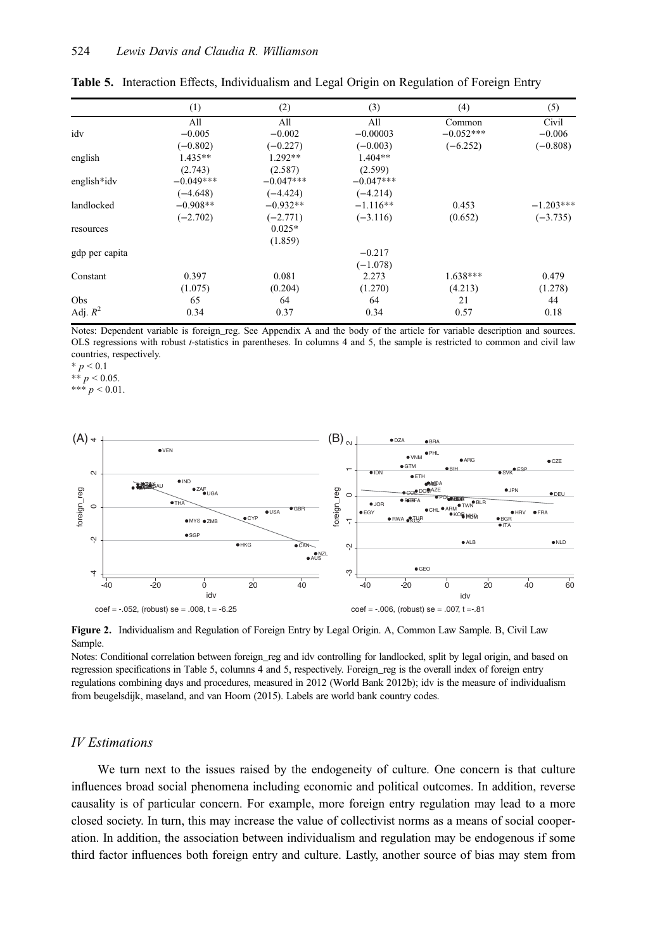|                | (1)         | (2)         | (3)         | (4)         | (5)         |
|----------------|-------------|-------------|-------------|-------------|-------------|
|                | A11         | A11         | All         | Common      | Civil       |
| idv            | $-0.005$    | $-0.002$    | $-0.00003$  | $-0.052***$ | $-0.006$    |
|                | $(-0.802)$  | $(-0.227)$  | $(-0.003)$  | $(-6.252)$  | $(-0.808)$  |
| english        | $1.435**$   | 1.292**     | $1.404**$   |             |             |
|                | (2.743)     | (2.587)     | (2.599)     |             |             |
| english*idv    | $-0.049***$ | $-0.047***$ | $-0.047***$ |             |             |
|                | $(-4.648)$  | $(-4.424)$  | $(-4.214)$  |             |             |
| landlocked     | $-0.908**$  | $-0.932**$  | $-1.116**$  | 0.453       | $-1.203***$ |
|                | $(-2.702)$  | $(-2.771)$  | $(-3.116)$  | (0.652)     | $(-3.735)$  |
| resources      |             | $0.025*$    |             |             |             |
|                |             | (1.859)     |             |             |             |
| gdp per capita |             |             | $-0.217$    |             |             |
|                |             |             | $(-1.078)$  |             |             |
| Constant       | 0.397       | 0.081       | 2.273       | $1.638***$  | 0.479       |
|                | (1.075)     | (0.204)     | (1.270)     | (4.213)     | (1.278)     |
| Obs            | 65          | 64          | 64          | 21          | 44          |
| Adj. $R^2$     | 0.34        | 0.37        | 0.34        | 0.57        | 0.18        |

Table 5. Interaction Effects, Individualism and Legal Origin on Regulation of Foreign Entry

Notes: Dependent variable is foreign\_reg. See Appendix A and the body of the article for variable description and sources. OLS regressions with robust t-statistics in parentheses. In columns 4 and 5, the sample is restricted to common and civil law countries, respectively.

 $* p < 0.1$ \*\*  $p < 0.05$ .

\*\*\*  $p < 0.01$ .



Figure 2. Individualism and Regulation of Foreign Entry by Legal Origin. A, Common Law Sample. B, Civil Law Sample.

Notes: Conditional correlation between foreign\_reg and idv controlling for landlocked, split by legal origin, and based on regression specifications in Table 5, columns 4 and 5, respectively. Foreign\_reg is the overall index of foreign entry regulations combining days and procedures, measured in 2012 (World Bank 2012b); idv is the measure of individualism from beugelsdijk, maseland, and van Hoorn (2015). Labels are world bank country codes.

# IV Estimations

We turn next to the issues raised by the endogeneity of culture. One concern is that culture influences broad social phenomena including economic and political outcomes. In addition, reverse causality is of particular concern. For example, more foreign entry regulation may lead to a more closed society. In turn, this may increase the value of collectivist norms as a means of social cooperation. In addition, the association between individualism and regulation may be endogenous if some third factor influences both foreign entry and culture. Lastly, another source of bias may stem from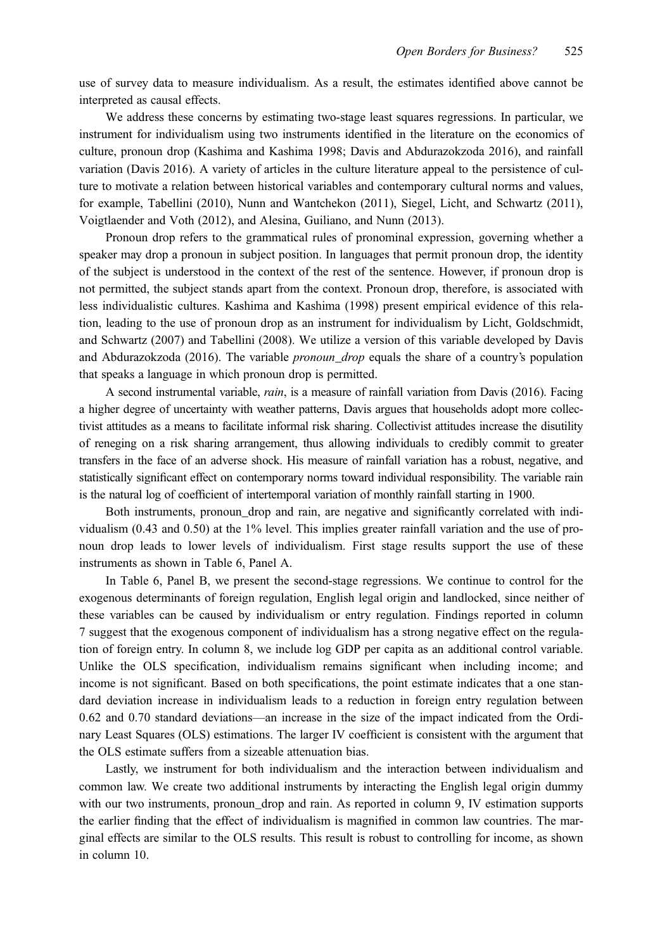use of survey data to measure individualism. As a result, the estimates identified above cannot be interpreted as causal effects.

We address these concerns by estimating two-stage least squares regressions. In particular, we instrument for individualism using two instruments identified in the literature on the economics of culture, pronoun drop (Kashima and Kashima 1998; Davis and Abdurazokzoda 2016), and rainfall variation (Davis 2016). A variety of articles in the culture literature appeal to the persistence of culture to motivate a relation between historical variables and contemporary cultural norms and values, for example, Tabellini (2010), Nunn and Wantchekon (2011), Siegel, Licht, and Schwartz (2011), Voigtlaender and Voth (2012), and Alesina, Guiliano, and Nunn (2013).

Pronoun drop refers to the grammatical rules of pronominal expression, governing whether a speaker may drop a pronoun in subject position. In languages that permit pronoun drop, the identity of the subject is understood in the context of the rest of the sentence. However, if pronoun drop is not permitted, the subject stands apart from the context. Pronoun drop, therefore, is associated with less individualistic cultures. Kashima and Kashima (1998) present empirical evidence of this relation, leading to the use of pronoun drop as an instrument for individualism by Licht, Goldschmidt, and Schwartz (2007) and Tabellini (2008). We utilize a version of this variable developed by Davis and Abdurazokzoda (2016). The variable pronoun\_drop equals the share of a country's population that speaks a language in which pronoun drop is permitted.

A second instrumental variable, rain, is a measure of rainfall variation from Davis (2016). Facing a higher degree of uncertainty with weather patterns, Davis argues that households adopt more collectivist attitudes as a means to facilitate informal risk sharing. Collectivist attitudes increase the disutility of reneging on a risk sharing arrangement, thus allowing individuals to credibly commit to greater transfers in the face of an adverse shock. His measure of rainfall variation has a robust, negative, and statistically significant effect on contemporary norms toward individual responsibility. The variable rain is the natural log of coefficient of intertemporal variation of monthly rainfall starting in 1900.

Both instruments, pronoun\_drop and rain, are negative and significantly correlated with individualism (0.43 and 0.50) at the 1% level. This implies greater rainfall variation and the use of pronoun drop leads to lower levels of individualism. First stage results support the use of these instruments as shown in Table 6, Panel A.

In Table 6, Panel B, we present the second-stage regressions. We continue to control for the exogenous determinants of foreign regulation, English legal origin and landlocked, since neither of these variables can be caused by individualism or entry regulation. Findings reported in column 7 suggest that the exogenous component of individualism has a strong negative effect on the regulation of foreign entry. In column 8, we include log GDP per capita as an additional control variable. Unlike the OLS specification, individualism remains significant when including income; and income is not significant. Based on both specifications, the point estimate indicates that a one standard deviation increase in individualism leads to a reduction in foreign entry regulation between 0.62 and 0.70 standard deviations—an increase in the size of the impact indicated from the Ordinary Least Squares (OLS) estimations. The larger IV coefficient is consistent with the argument that the OLS estimate suffers from a sizeable attenuation bias.

Lastly, we instrument for both individualism and the interaction between individualism and common law. We create two additional instruments by interacting the English legal origin dummy with our two instruments, pronoun drop and rain. As reported in column 9, IV estimation supports the earlier finding that the effect of individualism is magnified in common law countries. The marginal effects are similar to the OLS results. This result is robust to controlling for income, as shown in column 10.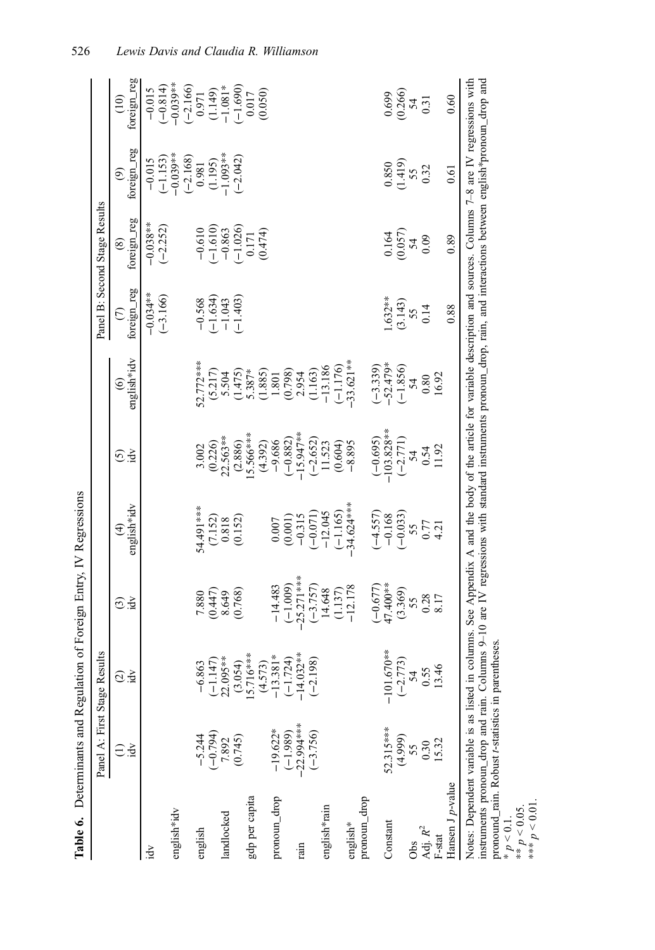|                          | Panel A: First Stage Results |                                                                                                                                                                                                                                                                                                                                               |                                                   |                                                                        |                              |                                                                                                           |                                                  | Panel B: Second Stage Results                                                    |                                                                 |                                                                                                  |
|--------------------------|------------------------------|-----------------------------------------------------------------------------------------------------------------------------------------------------------------------------------------------------------------------------------------------------------------------------------------------------------------------------------------------|---------------------------------------------------|------------------------------------------------------------------------|------------------------------|-----------------------------------------------------------------------------------------------------------|--------------------------------------------------|----------------------------------------------------------------------------------|-----------------------------------------------------------------|--------------------------------------------------------------------------------------------------|
|                          | Ř                            | $\widehat{\odot}$ .ਕੁੱ                                                                                                                                                                                                                                                                                                                        | $\odot$ ਤੁੱ                                       | english*idv<br>$\bigoplus$                                             | idv<br>ତି                    | english*idv<br>$\circledcirc$                                                                             | foreign_reg<br>$\odot$                           | foreign_reg<br>$\circledast$                                                     | foreign_reg<br>$\circledcirc$                                   | foreign_reg<br>$\overline{10}$                                                                   |
| ήĐ.                      |                              |                                                                                                                                                                                                                                                                                                                                               |                                                   |                                                                        |                              |                                                                                                           | $-0.034**$                                       |                                                                                  |                                                                 |                                                                                                  |
|                          |                              |                                                                                                                                                                                                                                                                                                                                               |                                                   |                                                                        |                              |                                                                                                           | $(-3.166)$                                       | $-0.038***$<br>$(-2.252)$                                                        | $-0.015$<br>$(-1.153)$<br>$-0.039**$                            | $-0.015$<br>$(-0.814)$<br>$-0.814$                                                               |
| english*idv              |                              |                                                                                                                                                                                                                                                                                                                                               |                                                   |                                                                        |                              |                                                                                                           |                                                  |                                                                                  |                                                                 |                                                                                                  |
|                          |                              |                                                                                                                                                                                                                                                                                                                                               |                                                   |                                                                        |                              |                                                                                                           |                                                  |                                                                                  |                                                                 |                                                                                                  |
| english                  | $-5.244$                     | $-6.863$                                                                                                                                                                                                                                                                                                                                      | 7.880                                             | 54.491 ***                                                             | 3.002                        | $2.772***$                                                                                                |                                                  |                                                                                  |                                                                 |                                                                                                  |
|                          | $(-0.794)$                   | $(-1.147)$<br>22.095**                                                                                                                                                                                                                                                                                                                        | $(0.447)$<br>8.649                                |                                                                        | $(0.226)$<br>$22.563**$      |                                                                                                           |                                                  |                                                                                  |                                                                 |                                                                                                  |
| landlocked               | 7.892                        |                                                                                                                                                                                                                                                                                                                                               |                                                   |                                                                        |                              |                                                                                                           |                                                  |                                                                                  |                                                                 |                                                                                                  |
|                          | (0.745)                      | $(3.054)$<br>15.716***                                                                                                                                                                                                                                                                                                                        | (0.768)                                           | $\begin{array}{c} (7.152) \\ 0.818 \\ 0.152) \end{array}$              | (2.886)                      | $(5.217)$<br>$5.504$<br>$(1.475)$<br>$5.387*$                                                             | $-0.568$<br>$(-1.634)$<br>$-1.043$<br>$(-1.403)$ | $\begin{array}{c} -0.610 \\ (-1.610) \\ -0.863 \\ (-1.026) \\ 0.171 \end{array}$ | $(-2.168)$<br>$0.981$<br>$(1.195)$<br>$(-1.093**$<br>$(-2.042)$ | $\begin{array}{c} (-2.166) \\ 0.971 \\ 0.149) \\ (-1.690) \\ -1.081^{*} \\ (-1.690) \end{array}$ |
| gdp per capita           |                              |                                                                                                                                                                                                                                                                                                                                               |                                                   |                                                                        | 5.566***                     |                                                                                                           |                                                  |                                                                                  |                                                                 |                                                                                                  |
|                          |                              |                                                                                                                                                                                                                                                                                                                                               |                                                   |                                                                        | (4.392)                      |                                                                                                           |                                                  | (0.474)                                                                          |                                                                 | (0.050)                                                                                          |
| pronoun_drop             | $-19.622*$                   | $(4.573)$<br>-13.381*                                                                                                                                                                                                                                                                                                                         | $-14.483$                                         |                                                                        | $-9.686$                     |                                                                                                           |                                                  |                                                                                  |                                                                 |                                                                                                  |
|                          | $(-1.989)$                   | $(-1.724)$<br>-14.032**                                                                                                                                                                                                                                                                                                                       | $(-1.009)$                                        | $\begin{array}{c} 0.007 \\ (0.001) \\ -0.315 \end{array}$              | $(-0.882)$<br>-15.947**      |                                                                                                           |                                                  |                                                                                  |                                                                 |                                                                                                  |
| rain                     | $-22.994***$                 |                                                                                                                                                                                                                                                                                                                                               | $-25.271***$                                      |                                                                        |                              |                                                                                                           |                                                  |                                                                                  |                                                                 |                                                                                                  |
|                          | $(-3.756)$                   | $(-2.198)$                                                                                                                                                                                                                                                                                                                                    | $\begin{array}{c} (-3.757) \\ 14.648 \end{array}$ | $(-0.071)$<br>-12.045                                                  | $(-2.652)$<br>11.523         | $\begin{array}{c} (1.885)\\ 1.801\\ 0.798)\\ 2.954\\ 1.163)\\ (-1.163)\\ (-1.176)\\ (-1.176) \end{array}$ |                                                  |                                                                                  |                                                                 |                                                                                                  |
| english*rain             |                              |                                                                                                                                                                                                                                                                                                                                               |                                                   |                                                                        |                              |                                                                                                           |                                                  |                                                                                  |                                                                 |                                                                                                  |
|                          |                              |                                                                                                                                                                                                                                                                                                                                               | (1.137)                                           | $(-1.165)$                                                             | (0.604)                      |                                                                                                           |                                                  |                                                                                  |                                                                 |                                                                                                  |
| english*                 |                              |                                                                                                                                                                                                                                                                                                                                               | $-12.178$                                         | 34.624****                                                             | $-8.895$                     | $33.621**$                                                                                                |                                                  |                                                                                  |                                                                 |                                                                                                  |
| pronoun_drop             |                              |                                                                                                                                                                                                                                                                                                                                               |                                                   |                                                                        |                              |                                                                                                           |                                                  |                                                                                  |                                                                 |                                                                                                  |
|                          |                              |                                                                                                                                                                                                                                                                                                                                               |                                                   |                                                                        |                              |                                                                                                           |                                                  |                                                                                  |                                                                 |                                                                                                  |
| Constant                 | 52.315***                    | $-101.670***$                                                                                                                                                                                                                                                                                                                                 | $(-0.677)$<br>47.400**                            | $(-4.557)$<br>$-0.168$<br>$(-0.033)$<br>$55$<br>$57$<br>$0.77$<br>4.21 | $\frac{(-0.695)}{103.828**}$ | $(-3.339)$<br>-52.479*                                                                                    | $1.632***$                                       |                                                                                  |                                                                 | 0.699                                                                                            |
|                          | (4.999)                      | $(-2.773)$                                                                                                                                                                                                                                                                                                                                    | $(3.369)$<br>55                                   |                                                                        | $\frac{-2.771}{54}$<br>0.54  | $\frac{(-1.856)}{54}$                                                                                     | $(3.143)$<br>55                                  | $0.164$<br>$(0.057)$<br>$54$                                                     | $\frac{0.850}{(1.419)}$                                         | $(0.266)$<br>$54$<br>$0.31$                                                                      |
| Obs                      | 55                           | 54                                                                                                                                                                                                                                                                                                                                            |                                                   |                                                                        |                              |                                                                                                           |                                                  |                                                                                  |                                                                 |                                                                                                  |
| Adj. $\mathbb{R}^2$      | 0.30                         | 0.55                                                                                                                                                                                                                                                                                                                                          | $0.28$<br>8.17                                    |                                                                        |                              |                                                                                                           | 0.14                                             | 0.09                                                                             | 0.32                                                            |                                                                                                  |
| $_{\rm F-stat}$          | 15.32                        | 13.46                                                                                                                                                                                                                                                                                                                                         |                                                   |                                                                        | 11.92                        | 16.92                                                                                                     |                                                  |                                                                                  |                                                                 |                                                                                                  |
| Hansen J <i>p</i> -value |                              |                                                                                                                                                                                                                                                                                                                                               |                                                   |                                                                        |                              |                                                                                                           | 0.88                                             | 0.89                                                                             | 0.61                                                            | 0.60                                                                                             |
|                          |                              | Notes: Dependent variable is as listed in columns. See Appendix A and the body of the article for variable description and sources. Columns 7-8 are IV regressions with<br>instruments pronoun_drop and rain. Columns 9-10 are IV regressions with standard instruments pronoun_drop, rain, and interactions between english*pronoun_drop and |                                                   |                                                                        |                              |                                                                                                           |                                                  |                                                                                  |                                                                 |                                                                                                  |

**Table 6.** Determinants and Regulation of Foreign Entry. IV Regressions Table 6. Determinants and Regulation of Foreign Entry, IV Regressions pronound\_rain. Robust t-statistics in parentheses.

 $* p < 0.1$ .

 $p < 0.05$ . \*\*\*

 $p < 0.01$ .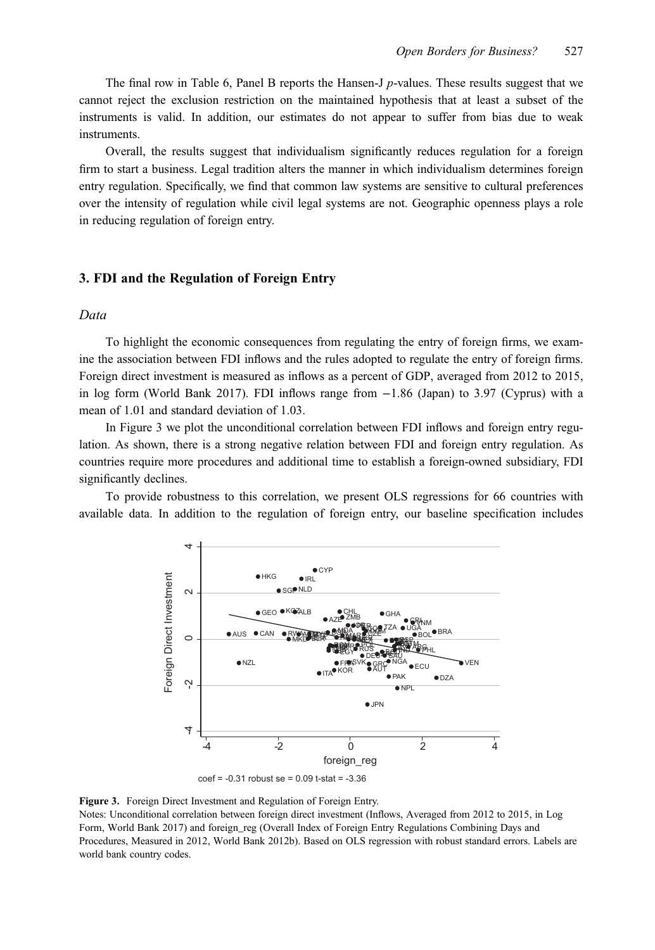The final row in Table 6, Panel B reports the Hansen-J  $p$ -values. These results suggest that we cannot reject the exclusion restriction on the maintained hypothesis that at least a subset of the instruments is valid. In addition, our estimates do not appear to suffer from bias due to weak instruments.

Overall, the results suggest that individualism significantly reduces regulation for a foreign firm to start a business. Legal tradition alters the manner in which individualism determines foreign entry regulation. Specifically, we find that common law systems are sensitive to cultural preferences over the intensity of regulation while civil legal systems are not. Geographic openness plays a role in reducing regulation of foreign entry.

# 3. FDI and the Regulation of Foreign Entry

# Data

To highlight the economic consequences from regulating the entry of foreign firms, we examine the association between FDI inflows and the rules adopted to regulate the entry of foreign firms. Foreign direct investment is measured as inflows as a percent of GDP, averaged from 2012 to 2015, in log form (World Bank 2017). FDI inflows range from −1.86 (Japan) to 3.97 (Cyprus) with a mean of 1.01 and standard deviation of 1.03.

In Figure 3 we plot the unconditional correlation between FDI inflows and foreign entry regulation. As shown, there is a strong negative relation between FDI and foreign entry regulation. As countries require more procedures and additional time to establish a foreign-owned subsidiary, FDI significantly declines.

To provide robustness to this correlation, we present OLS regressions for 66 countries with available data. In addition to the regulation of foreign entry, our baseline specification includes



Figure 3. Foreign Direct Investment and Regulation of Foreign Entry.

Notes: Unconditional correlation between foreign direct investment (Inflows, Averaged from 2012 to 2015, in Log Form, World Bank 2017) and foreign\_reg (Overall Index of Foreign Entry Regulations Combining Days and Procedures, Measured in 2012, World Bank 2012b). Based on OLS regression with robust standard errors. Labels are world bank country codes.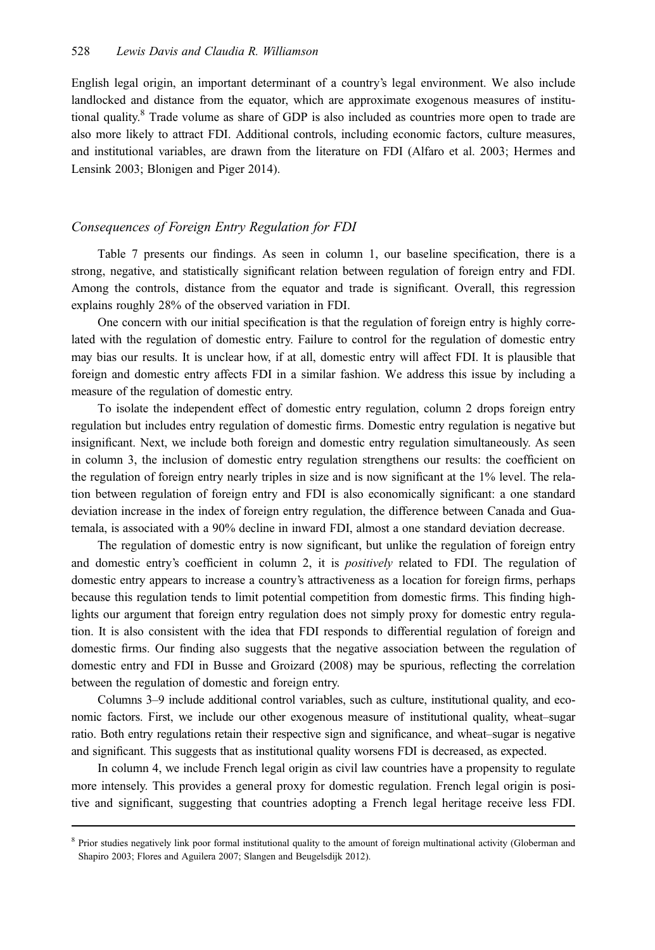English legal origin, an important determinant of a country's legal environment. We also include landlocked and distance from the equator, which are approximate exogenous measures of institutional quality.<sup>8</sup> Trade volume as share of GDP is also included as countries more open to trade are also more likely to attract FDI. Additional controls, including economic factors, culture measures, and institutional variables, are drawn from the literature on FDI (Alfaro et al. 2003; Hermes and Lensink 2003; Blonigen and Piger 2014).

#### Consequences of Foreign Entry Regulation for FDI

Table 7 presents our findings. As seen in column 1, our baseline specification, there is a strong, negative, and statistically significant relation between regulation of foreign entry and FDI. Among the controls, distance from the equator and trade is significant. Overall, this regression explains roughly 28% of the observed variation in FDI.

One concern with our initial specification is that the regulation of foreign entry is highly correlated with the regulation of domestic entry. Failure to control for the regulation of domestic entry may bias our results. It is unclear how, if at all, domestic entry will affect FDI. It is plausible that foreign and domestic entry affects FDI in a similar fashion. We address this issue by including a measure of the regulation of domestic entry.

To isolate the independent effect of domestic entry regulation, column 2 drops foreign entry regulation but includes entry regulation of domestic firms. Domestic entry regulation is negative but insignificant. Next, we include both foreign and domestic entry regulation simultaneously. As seen in column 3, the inclusion of domestic entry regulation strengthens our results: the coefficient on the regulation of foreign entry nearly triples in size and is now significant at the 1% level. The relation between regulation of foreign entry and FDI is also economically significant: a one standard deviation increase in the index of foreign entry regulation, the difference between Canada and Guatemala, is associated with a 90% decline in inward FDI, almost a one standard deviation decrease.

The regulation of domestic entry is now significant, but unlike the regulation of foreign entry and domestic entry's coefficient in column 2, it is *positively* related to FDI. The regulation of domestic entry appears to increase a country's attractiveness as a location for foreign firms, perhaps because this regulation tends to limit potential competition from domestic firms. This finding highlights our argument that foreign entry regulation does not simply proxy for domestic entry regulation. It is also consistent with the idea that FDI responds to differential regulation of foreign and domestic firms. Our finding also suggests that the negative association between the regulation of domestic entry and FDI in Busse and Groizard (2008) may be spurious, reflecting the correlation between the regulation of domestic and foreign entry.

Columns 3–9 include additional control variables, such as culture, institutional quality, and economic factors. First, we include our other exogenous measure of institutional quality, wheat–sugar ratio. Both entry regulations retain their respective sign and significance, and wheat–sugar is negative and significant. This suggests that as institutional quality worsens FDI is decreased, as expected.

In column 4, we include French legal origin as civil law countries have a propensity to regulate more intensely. This provides a general proxy for domestic regulation. French legal origin is positive and significant, suggesting that countries adopting a French legal heritage receive less FDI.

<sup>&</sup>lt;sup>8</sup> Prior studies negatively link poor formal institutional quality to the amount of foreign multinational activity (Globerman and Shapiro 2003; Flores and Aguilera 2007; Slangen and Beugelsdijk 2012).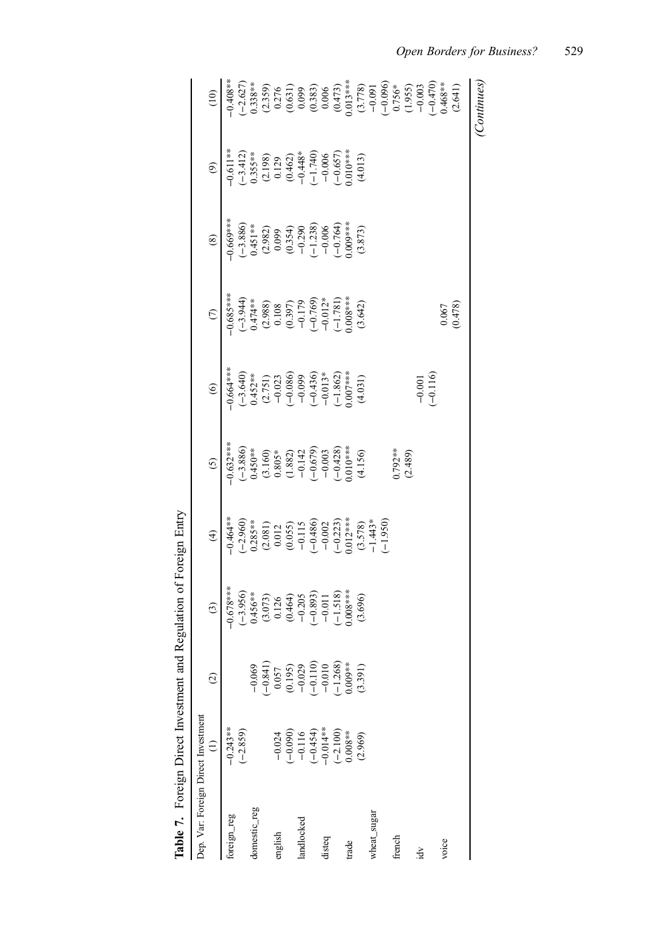|                                     | Table 7. Foreign Direct Investment and Regulation of Foreign Entry |                                                                                                                          |                                                                                                                                                                   |                                                                                                                                                                                                       |                                                                                                                                                      |                                                                                                                                                                                     |                                                                                                                                                                                                                           |                                                                                                                                                                                                                            |                                                                                                                                                                                |                                                                                                                                                                                                                                                                                                                                                                                                                                                                 |
|-------------------------------------|--------------------------------------------------------------------|--------------------------------------------------------------------------------------------------------------------------|-------------------------------------------------------------------------------------------------------------------------------------------------------------------|-------------------------------------------------------------------------------------------------------------------------------------------------------------------------------------------------------|------------------------------------------------------------------------------------------------------------------------------------------------------|-------------------------------------------------------------------------------------------------------------------------------------------------------------------------------------|---------------------------------------------------------------------------------------------------------------------------------------------------------------------------------------------------------------------------|----------------------------------------------------------------------------------------------------------------------------------------------------------------------------------------------------------------------------|--------------------------------------------------------------------------------------------------------------------------------------------------------------------------------|-----------------------------------------------------------------------------------------------------------------------------------------------------------------------------------------------------------------------------------------------------------------------------------------------------------------------------------------------------------------------------------------------------------------------------------------------------------------|
| Dep. Var: Foreign Direct Investment |                                                                    |                                                                                                                          |                                                                                                                                                                   |                                                                                                                                                                                                       |                                                                                                                                                      |                                                                                                                                                                                     |                                                                                                                                                                                                                           |                                                                                                                                                                                                                            |                                                                                                                                                                                |                                                                                                                                                                                                                                                                                                                                                                                                                                                                 |
|                                     | $\widehat{=}$                                                      | $\widehat{c}$                                                                                                            | $\odot$                                                                                                                                                           | $\bigoplus$                                                                                                                                                                                           | $\odot$                                                                                                                                              | $\circledcirc$                                                                                                                                                                      | $\odot$                                                                                                                                                                                                                   | $\circledast$                                                                                                                                                                                                              | $\odot$                                                                                                                                                                        | $\widehat{c}$                                                                                                                                                                                                                                                                                                                                                                                                                                                   |
| foreign_reg                         | $-0.243**$                                                         |                                                                                                                          | $-0.678***$<br>$(-3.956)$<br>$(-3.956)$<br>$0.456**$<br>$(3.073)$<br>$(1.26)$<br>$(-0.404)$<br>$(-0.203)$<br>$(-1.518)$<br>$(-1.518)$<br>$(-1.518)$<br>$(-1.518)$ | $-0.464**$                                                                                                                                                                                            | $0.632***$                                                                                                                                           | $\begin{array}{l} -0.664**\\ -3.640)\\ -3.640)\\ 0.452**\\ 0.2751)\\ -0.023\\ -0.0860\\ -0.039\\ -0.039\\ -0.037**\\ -1.862)\\ -1.862\\ 0.007***\\ -1.862\\ 0.007***\\ \end{array}$ | $0.685***$                                                                                                                                                                                                                |                                                                                                                                                                                                                            | $-0.611**$                                                                                                                                                                     |                                                                                                                                                                                                                                                                                                                                                                                                                                                                 |
|                                     | $(-2.859)$                                                         |                                                                                                                          |                                                                                                                                                                   | $(-2.960)$<br>$0.285**$<br>$0.285**$<br>$0.012$<br>$0.0055$<br>$0.0115$<br>$0.0055$<br>$0.0115$<br>$0.002$<br>$0.002$<br>$0.002$<br>$0.002$<br>$0.002$<br>$0.002$<br>$0.003*$<br>$0.003*$<br>$0.003*$ | $\begin{array}{l}(-3.886)\\0.450**\\0.803**\\0.803*\\(-1.60)\\0.803*\\(-1.42)\\(-0.679)\\(-0.033)\\(-0.003)\\(-0.428)\\(-0.428)\\(4.156)\end{array}$ |                                                                                                                                                                                     | $\begin{array}{l} (-3.944) \\ 0.474** \\ (2.988) \\ (2.988) \\ (0.108) \\ (0.197) \\ (-1.781) \\ (-1.781) \\ (-1.781) \\ (0.008*** \\ (-1.781) \\ (-1.781) \\ (-1.781) \\ (-1.781) \\ (-1.781) \\ (3.642) \\ \end{array}$ | $\begin{array}{l} -0.669^{***} \\ (-3.886) \\ 0.451^{***} \\ (2.982) \\ (1.999) \\ (0.199) \\ (0.354) \\ (-1.290) \\ (-0.764^{**}) \\ (0.008) \\ (-0.764^{**}) \\ (0.000) \\ (0.000) \\ (0.373) \\ (3.873) \\ \end{array}$ | $\begin{array}{l} (-3.412) \\ 0.355** \\ (2.198) \\ (0.129) \\ (0.462) \\ (0.462) \\ (-1.740) \\ (-0.0657) \\ (-0.657) \\ 0.000 \\ (-0.657) \\ (4.013) \\ (4.013) \end{array}$ | $\begin{array}{l} \mathcal{A} & \mathcal{A} & \mathcal{B} & \mathcal{B} & \mathcal{B} & \mathcal{B} & \mathcal{B} & \mathcal{B} & \mathcal{B} & \mathcal{B} & \mathcal{B} & \mathcal{B} & \mathcal{B} & \mathcal{B} & \mathcal{B} & \mathcal{B} & \mathcal{B} & \mathcal{B} & \mathcal{B} & \mathcal{B} & \mathcal{B} & \mathcal{B} & \mathcal{B} & \mathcal{B} & \mathcal{B} & \mathcal{B} & \mathcal{B} & \mathcal{B} & \mathcal{B} & \mathcal{B} & \mathcal$ |
| domestic_reg                        |                                                                    | $-0.069$                                                                                                                 |                                                                                                                                                                   |                                                                                                                                                                                                       |                                                                                                                                                      |                                                                                                                                                                                     |                                                                                                                                                                                                                           |                                                                                                                                                                                                                            |                                                                                                                                                                                |                                                                                                                                                                                                                                                                                                                                                                                                                                                                 |
|                                     |                                                                    | $(-8.84)$                                                                                                                |                                                                                                                                                                   |                                                                                                                                                                                                       |                                                                                                                                                      |                                                                                                                                                                                     |                                                                                                                                                                                                                           |                                                                                                                                                                                                                            |                                                                                                                                                                                |                                                                                                                                                                                                                                                                                                                                                                                                                                                                 |
| english                             | $-0.024$                                                           |                                                                                                                          |                                                                                                                                                                   |                                                                                                                                                                                                       |                                                                                                                                                      |                                                                                                                                                                                     |                                                                                                                                                                                                                           |                                                                                                                                                                                                                            |                                                                                                                                                                                |                                                                                                                                                                                                                                                                                                                                                                                                                                                                 |
|                                     |                                                                    |                                                                                                                          |                                                                                                                                                                   |                                                                                                                                                                                                       |                                                                                                                                                      |                                                                                                                                                                                     |                                                                                                                                                                                                                           |                                                                                                                                                                                                                            |                                                                                                                                                                                |                                                                                                                                                                                                                                                                                                                                                                                                                                                                 |
| landlocked                          | $(-0.090)$<br>-0.116                                               |                                                                                                                          |                                                                                                                                                                   |                                                                                                                                                                                                       |                                                                                                                                                      |                                                                                                                                                                                     |                                                                                                                                                                                                                           |                                                                                                                                                                                                                            |                                                                                                                                                                                |                                                                                                                                                                                                                                                                                                                                                                                                                                                                 |
|                                     | $(-0.454)$<br>$-0.014**$<br>$(-2.100)$<br>$(-2.008**$              | $\begin{array}{c} 0.057 \\ 0.195) \\ -0.029 \\ -0.110) \\ -0.110) \\ -0.010 \\ -0.010 \\ -1.268) \\ 0.09*** \end{array}$ |                                                                                                                                                                   |                                                                                                                                                                                                       |                                                                                                                                                      |                                                                                                                                                                                     |                                                                                                                                                                                                                           |                                                                                                                                                                                                                            |                                                                                                                                                                                |                                                                                                                                                                                                                                                                                                                                                                                                                                                                 |
| disteq                              |                                                                    |                                                                                                                          |                                                                                                                                                                   |                                                                                                                                                                                                       |                                                                                                                                                      |                                                                                                                                                                                     |                                                                                                                                                                                                                           |                                                                                                                                                                                                                            |                                                                                                                                                                                |                                                                                                                                                                                                                                                                                                                                                                                                                                                                 |
|                                     |                                                                    |                                                                                                                          |                                                                                                                                                                   |                                                                                                                                                                                                       |                                                                                                                                                      |                                                                                                                                                                                     |                                                                                                                                                                                                                           |                                                                                                                                                                                                                            |                                                                                                                                                                                |                                                                                                                                                                                                                                                                                                                                                                                                                                                                 |
| trade                               |                                                                    |                                                                                                                          |                                                                                                                                                                   |                                                                                                                                                                                                       |                                                                                                                                                      |                                                                                                                                                                                     |                                                                                                                                                                                                                           |                                                                                                                                                                                                                            |                                                                                                                                                                                |                                                                                                                                                                                                                                                                                                                                                                                                                                                                 |
|                                     | (2.969)                                                            | (3.391)                                                                                                                  |                                                                                                                                                                   |                                                                                                                                                                                                       |                                                                                                                                                      |                                                                                                                                                                                     |                                                                                                                                                                                                                           |                                                                                                                                                                                                                            |                                                                                                                                                                                |                                                                                                                                                                                                                                                                                                                                                                                                                                                                 |
| wheat_sugar                         |                                                                    |                                                                                                                          |                                                                                                                                                                   |                                                                                                                                                                                                       |                                                                                                                                                      |                                                                                                                                                                                     |                                                                                                                                                                                                                           |                                                                                                                                                                                                                            |                                                                                                                                                                                |                                                                                                                                                                                                                                                                                                                                                                                                                                                                 |
|                                     |                                                                    |                                                                                                                          |                                                                                                                                                                   |                                                                                                                                                                                                       |                                                                                                                                                      |                                                                                                                                                                                     |                                                                                                                                                                                                                           |                                                                                                                                                                                                                            |                                                                                                                                                                                |                                                                                                                                                                                                                                                                                                                                                                                                                                                                 |
| french                              |                                                                    |                                                                                                                          |                                                                                                                                                                   |                                                                                                                                                                                                       | $0.792**$<br>(2.489)                                                                                                                                 |                                                                                                                                                                                     |                                                                                                                                                                                                                           |                                                                                                                                                                                                                            |                                                                                                                                                                                |                                                                                                                                                                                                                                                                                                                                                                                                                                                                 |
|                                     |                                                                    |                                                                                                                          |                                                                                                                                                                   |                                                                                                                                                                                                       |                                                                                                                                                      |                                                                                                                                                                                     |                                                                                                                                                                                                                           |                                                                                                                                                                                                                            |                                                                                                                                                                                |                                                                                                                                                                                                                                                                                                                                                                                                                                                                 |
| Á                                   |                                                                    |                                                                                                                          |                                                                                                                                                                   |                                                                                                                                                                                                       |                                                                                                                                                      |                                                                                                                                                                                     |                                                                                                                                                                                                                           |                                                                                                                                                                                                                            |                                                                                                                                                                                |                                                                                                                                                                                                                                                                                                                                                                                                                                                                 |
|                                     |                                                                    |                                                                                                                          |                                                                                                                                                                   |                                                                                                                                                                                                       |                                                                                                                                                      | $-0.001$<br>$(-0.116)$                                                                                                                                                              |                                                                                                                                                                                                                           |                                                                                                                                                                                                                            |                                                                                                                                                                                |                                                                                                                                                                                                                                                                                                                                                                                                                                                                 |
| voice                               |                                                                    |                                                                                                                          |                                                                                                                                                                   |                                                                                                                                                                                                       |                                                                                                                                                      |                                                                                                                                                                                     | $\begin{array}{c} 0.067 \\ 0.478 \end{array}$                                                                                                                                                                             |                                                                                                                                                                                                                            |                                                                                                                                                                                |                                                                                                                                                                                                                                                                                                                                                                                                                                                                 |
|                                     |                                                                    |                                                                                                                          |                                                                                                                                                                   |                                                                                                                                                                                                       |                                                                                                                                                      |                                                                                                                                                                                     |                                                                                                                                                                                                                           |                                                                                                                                                                                                                            |                                                                                                                                                                                |                                                                                                                                                                                                                                                                                                                                                                                                                                                                 |
|                                     |                                                                    |                                                                                                                          |                                                                                                                                                                   |                                                                                                                                                                                                       |                                                                                                                                                      |                                                                                                                                                                                     |                                                                                                                                                                                                                           |                                                                                                                                                                                                                            |                                                                                                                                                                                | (Continues)                                                                                                                                                                                                                                                                                                                                                                                                                                                     |

| i<br>ţ<br>.<br>.       |
|------------------------|
| ּ<br>ו<br>.<br>م       |
| $-100$<br>ļ<br>ׇ֚<br>l |
| .<br>i                 |
| ļ                      |
| Į<br>l<br>ļ            |
|                        |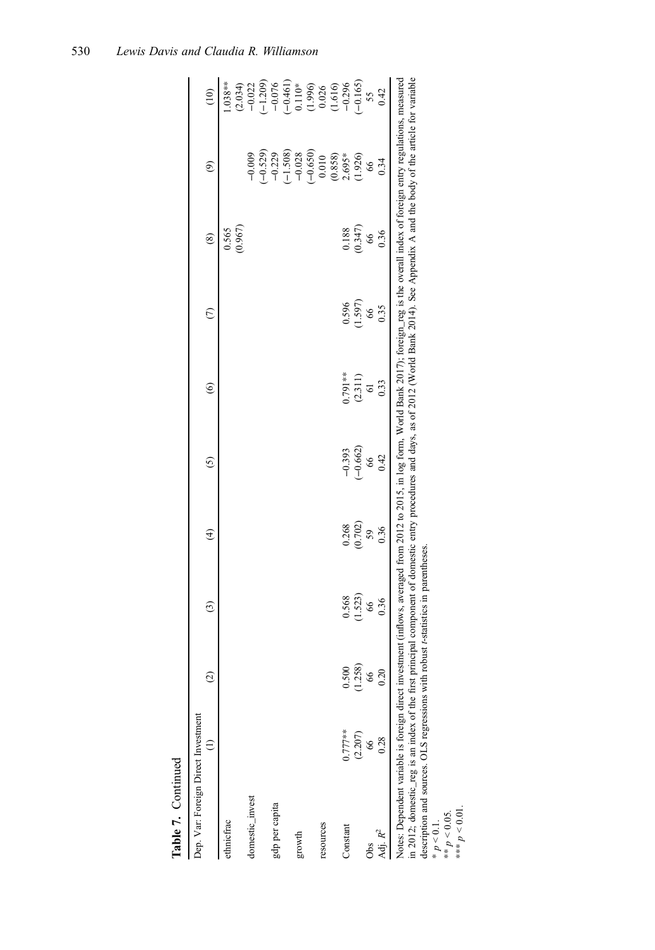| Table 7. Continued  |                                                                                                                                                                                                                                                                                                                                                                                                                                                                                             |               |         |                         |            |                 |                 |                 |                                         |                                                                                                                                             |
|---------------------|---------------------------------------------------------------------------------------------------------------------------------------------------------------------------------------------------------------------------------------------------------------------------------------------------------------------------------------------------------------------------------------------------------------------------------------------------------------------------------------------|---------------|---------|-------------------------|------------|-----------------|-----------------|-----------------|-----------------------------------------|---------------------------------------------------------------------------------------------------------------------------------------------|
|                     | Dep. Var: Foreign Direct Investment<br>Ξ                                                                                                                                                                                                                                                                                                                                                                                                                                                    | $\widehat{c}$ | $\odot$ | $\widehat{\mathcal{F}}$ | $\odot$    | $\circledcirc$  | $\epsilon$      | $\circledS$     | $\odot$                                 | $\overline{10}$                                                                                                                             |
| ethnicfrac          |                                                                                                                                                                                                                                                                                                                                                                                                                                                                                             |               |         |                         |            |                 |                 | 0.565           |                                         | $1.038**$                                                                                                                                   |
|                     |                                                                                                                                                                                                                                                                                                                                                                                                                                                                                             |               |         |                         |            |                 |                 | (0.967)         |                                         | $(2.034)$<br>$-0.022$                                                                                                                       |
| domestic_invest     |                                                                                                                                                                                                                                                                                                                                                                                                                                                                                             |               |         |                         |            |                 |                 |                 | $-0.009$                                |                                                                                                                                             |
|                     |                                                                                                                                                                                                                                                                                                                                                                                                                                                                                             |               |         |                         |            |                 |                 |                 | $(-0.529)$                              |                                                                                                                                             |
| gdp per capita      |                                                                                                                                                                                                                                                                                                                                                                                                                                                                                             |               |         |                         |            |                 |                 |                 | $-0.229$                                |                                                                                                                                             |
|                     |                                                                                                                                                                                                                                                                                                                                                                                                                                                                                             |               |         |                         |            |                 |                 |                 | $(-1.508)$<br>-0.028                    |                                                                                                                                             |
| growth              |                                                                                                                                                                                                                                                                                                                                                                                                                                                                                             |               |         |                         |            |                 |                 |                 |                                         |                                                                                                                                             |
|                     |                                                                                                                                                                                                                                                                                                                                                                                                                                                                                             |               |         |                         |            |                 |                 |                 |                                         |                                                                                                                                             |
| resources           |                                                                                                                                                                                                                                                                                                                                                                                                                                                                                             |               |         |                         |            |                 |                 |                 |                                         |                                                                                                                                             |
|                     |                                                                                                                                                                                                                                                                                                                                                                                                                                                                                             |               |         |                         |            |                 |                 |                 |                                         |                                                                                                                                             |
| Constant            | $0.777**$                                                                                                                                                                                                                                                                                                                                                                                                                                                                                   | 0.500         | 0.568   | 0.268                   | $-0.393$   | 1.791**         | 0.596           | 0.188           | $(-0.650)$<br>0.010<br>0.858)<br>2.695* |                                                                                                                                             |
|                     | (2.207)                                                                                                                                                                                                                                                                                                                                                                                                                                                                                     | (1.258)       | (1.523) | $(0.702)$<br>59         | $(-0.662)$ | $(2.311)$<br>61 | $(1.597)$<br>66 | $(0.347)$<br>66 | (1.926)                                 | $\begin{array}{r} (-1.209) \\ -0.076 \\ -0.461) \\ 0.110^{*} \\ 0.110^{*} \\ 0.026 \\ -0.296 \\ (-0.165) \\ -0.296 \\ (-0.165) \end{array}$ |
|                     | 66                                                                                                                                                                                                                                                                                                                                                                                                                                                                                          | 66            |         |                         | 66         |                 |                 |                 | 66                                      | 55                                                                                                                                          |
| Adj. R <sup>2</sup> | 0.28                                                                                                                                                                                                                                                                                                                                                                                                                                                                                        | 0.20          | 0.36    | 0.36                    | 0.42       | 0.33            | 0.35            | 0.36            | 0.34                                    | 0.42                                                                                                                                        |
|                     | in 2012; domestic_reg is an index of the first principal component of domestic entry procedures and days, as of 2012 (World Bank 2014). See Appendix A and the body of the article for variable<br>Notes: Dependent variable is foreign direct investment (inflows, averaged from 2012 to 2015, in log form, World Bank 2017); foreign_reg is the overall index of foreign entry regulations, measured<br>description and sources. OLS regressions with robust t-statistics in parentheses. |               |         |                         |            |                 |                 |                 |                                         |                                                                                                                                             |

\*  $p < 0.1$ . \*\*  $p < 0.05$ .

\*\*\*  $p < 0.01$ .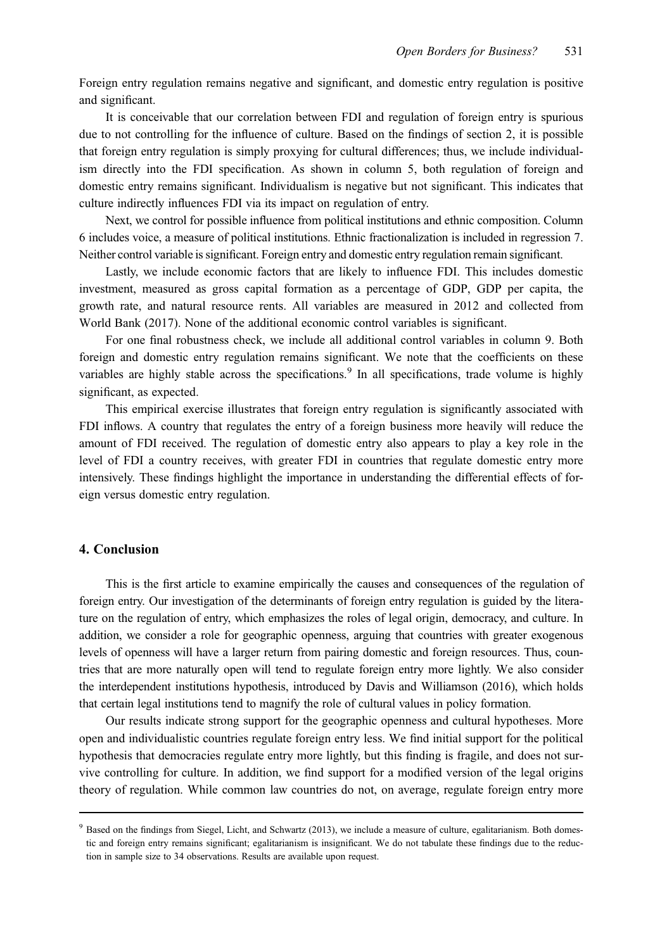Foreign entry regulation remains negative and significant, and domestic entry regulation is positive and significant.

It is conceivable that our correlation between FDI and regulation of foreign entry is spurious due to not controlling for the influence of culture. Based on the findings of section 2, it is possible that foreign entry regulation is simply proxying for cultural differences; thus, we include individualism directly into the FDI specification. As shown in column 5, both regulation of foreign and domestic entry remains significant. Individualism is negative but not significant. This indicates that culture indirectly influences FDI via its impact on regulation of entry.

Next, we control for possible influence from political institutions and ethnic composition. Column 6 includes voice, a measure of political institutions. Ethnic fractionalization is included in regression 7. Neither control variable is significant. Foreign entry and domestic entry regulation remain significant.

Lastly, we include economic factors that are likely to influence FDI. This includes domestic investment, measured as gross capital formation as a percentage of GDP, GDP per capita, the growth rate, and natural resource rents. All variables are measured in 2012 and collected from World Bank (2017). None of the additional economic control variables is significant.

For one final robustness check, we include all additional control variables in column 9. Both foreign and domestic entry regulation remains significant. We note that the coefficients on these variables are highly stable across the specifications.<sup>9</sup> In all specifications, trade volume is highly significant, as expected.

This empirical exercise illustrates that foreign entry regulation is significantly associated with FDI inflows. A country that regulates the entry of a foreign business more heavily will reduce the amount of FDI received. The regulation of domestic entry also appears to play a key role in the level of FDI a country receives, with greater FDI in countries that regulate domestic entry more intensively. These findings highlight the importance in understanding the differential effects of foreign versus domestic entry regulation.

# 4. Conclusion

This is the first article to examine empirically the causes and consequences of the regulation of foreign entry. Our investigation of the determinants of foreign entry regulation is guided by the literature on the regulation of entry, which emphasizes the roles of legal origin, democracy, and culture. In addition, we consider a role for geographic openness, arguing that countries with greater exogenous levels of openness will have a larger return from pairing domestic and foreign resources. Thus, countries that are more naturally open will tend to regulate foreign entry more lightly. We also consider the interdependent institutions hypothesis, introduced by Davis and Williamson (2016), which holds that certain legal institutions tend to magnify the role of cultural values in policy formation.

Our results indicate strong support for the geographic openness and cultural hypotheses. More open and individualistic countries regulate foreign entry less. We find initial support for the political hypothesis that democracies regulate entry more lightly, but this finding is fragile, and does not survive controlling for culture. In addition, we find support for a modified version of the legal origins theory of regulation. While common law countries do not, on average, regulate foreign entry more

<sup>&</sup>lt;sup>9</sup> Based on the findings from Siegel, Licht, and Schwartz (2013), we include a measure of culture, egalitarianism. Both domestic and foreign entry remains significant; egalitarianism is insignificant. We do not tabulate these findings due to the reduction in sample size to 34 observations. Results are available upon request.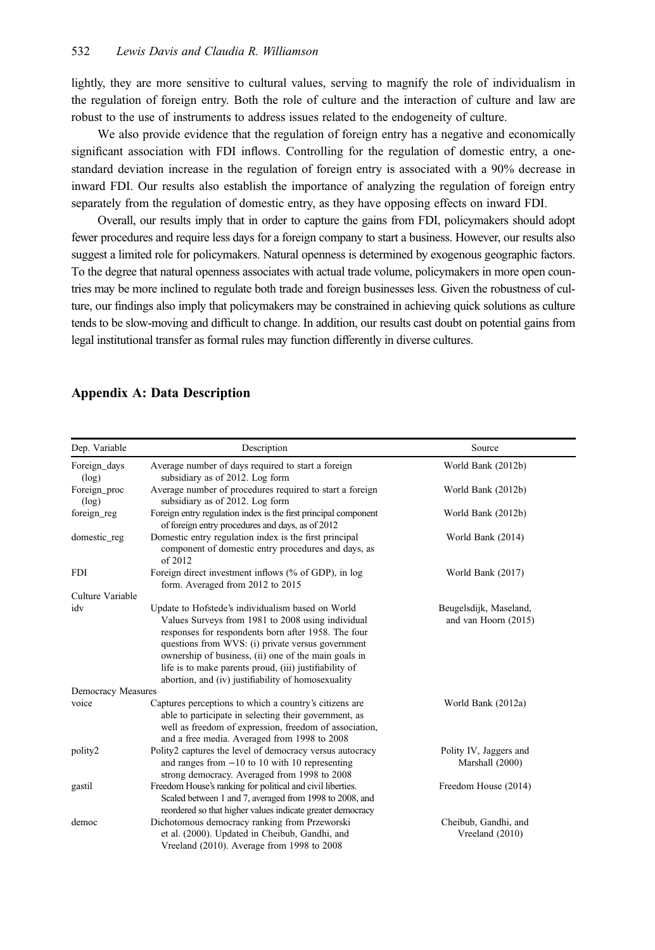lightly, they are more sensitive to cultural values, serving to magnify the role of individualism in the regulation of foreign entry. Both the role of culture and the interaction of culture and law are robust to the use of instruments to address issues related to the endogeneity of culture.

We also provide evidence that the regulation of foreign entry has a negative and economically significant association with FDI inflows. Controlling for the regulation of domestic entry, a onestandard deviation increase in the regulation of foreign entry is associated with a 90% decrease in inward FDI. Our results also establish the importance of analyzing the regulation of foreign entry separately from the regulation of domestic entry, as they have opposing effects on inward FDI.

Overall, our results imply that in order to capture the gains from FDI, policymakers should adopt fewer procedures and require less days for a foreign company to start a business. However, our results also suggest a limited role for policymakers. Natural openness is determined by exogenous geographic factors. To the degree that natural openness associates with actual trade volume, policymakers in more open countries may be more inclined to regulate both trade and foreign businesses less. Given the robustness of culture, our findings also imply that policymakers may be constrained in achieving quick solutions as culture tends to be slow-moving and difficult to change. In addition, our results cast doubt on potential gains from legal institutional transfer as formal rules may function differently in diverse cultures.

| Dep. Variable         | Description                                                                                                                                                                                                                                                                                                                                                                                | Source                                         |
|-----------------------|--------------------------------------------------------------------------------------------------------------------------------------------------------------------------------------------------------------------------------------------------------------------------------------------------------------------------------------------------------------------------------------------|------------------------------------------------|
|                       |                                                                                                                                                                                                                                                                                                                                                                                            |                                                |
| Foreign_days<br>(log) | Average number of days required to start a foreign<br>subsidiary as of 2012. Log form                                                                                                                                                                                                                                                                                                      | World Bank (2012b)                             |
| Foreign_proc          | Average number of procedures required to start a foreign                                                                                                                                                                                                                                                                                                                                   | World Bank (2012b)                             |
| (log)                 | subsidiary as of 2012. Log form                                                                                                                                                                                                                                                                                                                                                            |                                                |
| foreign_reg           | Foreign entry regulation index is the first principal component<br>of foreign entry procedures and days, as of 2012                                                                                                                                                                                                                                                                        | World Bank (2012b)                             |
| domestic_reg          | Domestic entry regulation index is the first principal<br>component of domestic entry procedures and days, as<br>of 2012                                                                                                                                                                                                                                                                   | World Bank (2014)                              |
| <b>FDI</b>            | Foreign direct investment inflows (% of GDP), in log<br>form. Averaged from 2012 to 2015                                                                                                                                                                                                                                                                                                   | World Bank (2017)                              |
| Culture Variable      |                                                                                                                                                                                                                                                                                                                                                                                            |                                                |
| idv                   | Update to Hofstede's individualism based on World<br>Values Surveys from 1981 to 2008 using individual<br>responses for respondents born after 1958. The four<br>questions from WVS: (i) private versus government<br>ownership of business, (ii) one of the main goals in<br>life is to make parents proud, (iii) justifiability of<br>abortion, and (iv) justifiability of homosexuality | Beugelsdijk, Maseland,<br>and van Hoorn (2015) |
| Democracy Measures    |                                                                                                                                                                                                                                                                                                                                                                                            |                                                |
| voice                 | Captures perceptions to which a country's citizens are<br>able to participate in selecting their government, as<br>well as freedom of expression, freedom of association,<br>and a free media. Averaged from 1998 to 2008                                                                                                                                                                  | World Bank (2012a)                             |
| polity2               | Polity2 captures the level of democracy versus autocracy<br>and ranges from $-10$ to 10 with 10 representing<br>strong democracy. Averaged from 1998 to 2008                                                                                                                                                                                                                               | Polity IV, Jaggers and<br>Marshall (2000)      |
| gastil                | Freedom House's ranking for political and civil liberties.<br>Scaled between 1 and 7, averaged from 1998 to 2008, and<br>reordered so that higher values indicate greater democracy                                                                                                                                                                                                        | Freedom House (2014)                           |
| democ                 | Dichotomous democracy ranking from Przeworski<br>et al. (2000). Updated in Cheibub, Gandhi, and<br>Vreeland (2010). Average from 1998 to 2008                                                                                                                                                                                                                                              | Cheibub, Gandhi, and<br>Vreeland (2010)        |

# Appendix A: Data Description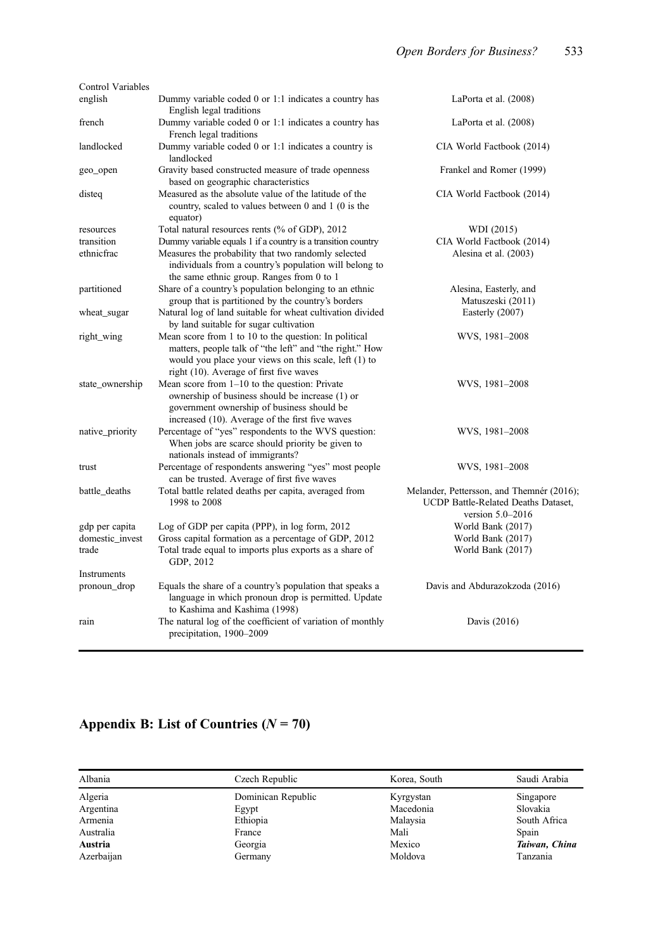| <b>Control Variables</b> |                                                                                                                                                                                                                      |                                                                                                          |
|--------------------------|----------------------------------------------------------------------------------------------------------------------------------------------------------------------------------------------------------------------|----------------------------------------------------------------------------------------------------------|
| english                  | Dummy variable coded 0 or 1:1 indicates a country has<br>English legal traditions                                                                                                                                    | LaPorta et al. (2008)                                                                                    |
| french                   | Dummy variable coded 0 or 1:1 indicates a country has<br>French legal traditions                                                                                                                                     | LaPorta et al. (2008)                                                                                    |
| landlocked               | Dummy variable coded 0 or 1:1 indicates a country is<br>landlocked                                                                                                                                                   | CIA World Factbook (2014)                                                                                |
| geo_open                 | Gravity based constructed measure of trade openness<br>based on geographic characteristics                                                                                                                           | Frankel and Romer (1999)                                                                                 |
| disteq                   | Measured as the absolute value of the latitude of the<br>country, scaled to values between 0 and 1 (0 is the<br>equator)                                                                                             | CIA World Factbook (2014)                                                                                |
| resources                | Total natural resources rents (% of GDP), 2012                                                                                                                                                                       | WDI (2015)                                                                                               |
| transition               | Dummy variable equals 1 if a country is a transition country                                                                                                                                                         | CIA World Factbook (2014)                                                                                |
| ethnicfrac               | Measures the probability that two randomly selected<br>individuals from a country's population will belong to<br>the same ethnic group. Ranges from 0 to 1                                                           | Alesina et al. (2003)                                                                                    |
| partitioned              | Share of a country's population belonging to an ethnic<br>group that is partitioned by the country's borders                                                                                                         | Alesina, Easterly, and<br>Matuszeski (2011)                                                              |
| wheat_sugar              | Natural log of land suitable for wheat cultivation divided<br>by land suitable for sugar cultivation                                                                                                                 | Easterly (2007)                                                                                          |
| right_wing               | Mean score from 1 to 10 to the question: In political<br>matters, people talk of "the left" and "the right." How<br>would you place your views on this scale, left (1) to<br>right (10). Average of first five waves | WVS, 1981-2008                                                                                           |
| state_ownership          | Mean score from $1-10$ to the question: Private<br>ownership of business should be increase (1) or<br>government ownership of business should be<br>increased (10). Average of the first five waves                  | WVS, 1981-2008                                                                                           |
| native_priority          | Percentage of "yes" respondents to the WVS question:<br>When jobs are scarce should priority be given to<br>nationals instead of immigrants?                                                                         | WVS, 1981-2008                                                                                           |
| trust                    | Percentage of respondents answering "yes" most people<br>can be trusted. Average of first five waves                                                                                                                 | WVS, 1981-2008                                                                                           |
| battle_deaths            | Total battle related deaths per capita, averaged from<br>1998 to 2008                                                                                                                                                | Melander, Pettersson, and Themnér (2016).<br>UCDP Battle-Related Deaths Dataset,<br>version $5.0 - 2016$ |
| gdp per capita           | Log of GDP per capita (PPP), in log form, 2012                                                                                                                                                                       | World Bank (2017)                                                                                        |
| domestic_invest          | Gross capital formation as a percentage of GDP, 2012                                                                                                                                                                 | World Bank (2017)                                                                                        |
| trade                    | Total trade equal to imports plus exports as a share of<br>GDP, 2012                                                                                                                                                 | World Bank (2017)                                                                                        |
| Instruments              |                                                                                                                                                                                                                      |                                                                                                          |
| pronoun_drop             | Equals the share of a country's population that speaks a<br>language in which pronoun drop is permitted. Update<br>to Kashima and Kashima (1998)                                                                     | Davis and Abdurazokzoda (2016)                                                                           |
| rain                     | The natural log of the coefficient of variation of monthly<br>precipitation, 1900-2009                                                                                                                               | Davis (2016)                                                                                             |

# Appendix B: List of Countries  $(N = 70)$

| Albania    | Czech Republic     | Korea, South | Saudi Arabia  |
|------------|--------------------|--------------|---------------|
| Algeria    | Dominican Republic | Kyrgystan    | Singapore     |
| Argentina  | Egypt              | Macedonia    | Slovakia      |
| Armenia    | Ethiopia           | Malaysia     | South Africa  |
| Australia  | France             | Mali         | Spain         |
| Austria    | Georgia            | Mexico       | Taiwan, China |
| Azerbaijan | Germany            | Moldova      | Tanzania      |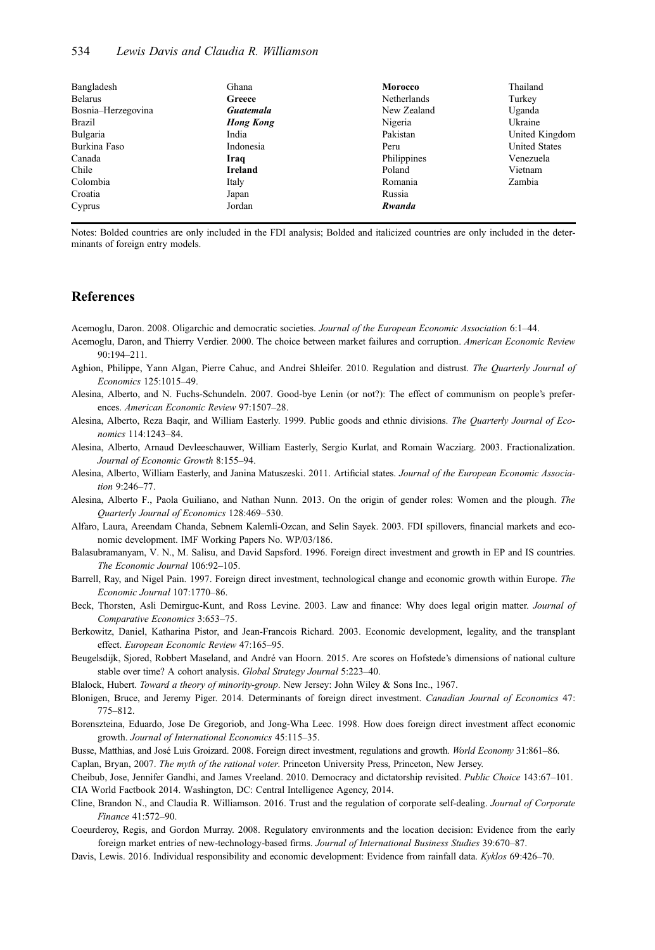| Bangladesh         | Ghana            | Morocco            | Thailand             |
|--------------------|------------------|--------------------|----------------------|
| <b>Belarus</b>     | Greece           | <b>Netherlands</b> | Turkey               |
| Bosnia-Herzegovina | Guatemala        | New Zealand        | Uganda               |
| Brazil             | <b>Hong Kong</b> | Nigeria            | Ukraine              |
| Bulgaria           | India            | Pakistan           | United Kingdom       |
| Burkina Faso       | Indonesia        | Peru               | <b>United States</b> |
| Canada             | Iraq             | Philippines        | Venezuela            |
| Chile              | Ireland          | Poland             | Vietnam              |
| Colombia           | Italy            | Romania            | Zambia               |
| Croatia            | Japan            | Russia             |                      |
| Cyprus             | Jordan           | Rwanda             |                      |

Notes: Bolded countries are only included in the FDI analysis; Bolded and italicized countries are only included in the determinants of foreign entry models.

#### References

Acemoglu, Daron. 2008. Oligarchic and democratic societies. Journal of the European Economic Association 6:1–44.

- Acemoglu, Daron, and Thierry Verdier. 2000. The choice between market failures and corruption. American Economic Review  $90.194 - 211$
- Aghion, Philippe, Yann Algan, Pierre Cahuc, and Andrei Shleifer. 2010. Regulation and distrust. The Quarterly Journal of Economics 125:1015–49.
- Alesina, Alberto, and N. Fuchs-Schundeln. 2007. Good-bye Lenin (or not?): The effect of communism on people's preferences. American Economic Review 97:1507–28.
- Alesina, Alberto, Reza Baqir, and William Easterly. 1999. Public goods and ethnic divisions. The Quarterly Journal of Economics 114:1243–84.
- Alesina, Alberto, Arnaud Devleeschauwer, William Easterly, Sergio Kurlat, and Romain Wacziarg. 2003. Fractionalization. Journal of Economic Growth 8:155–94.
- Alesina, Alberto, William Easterly, and Janina Matuszeski. 2011. Artificial states. Journal of the European Economic Association 9:246–77.
- Alesina, Alberto F., Paola Guiliano, and Nathan Nunn. 2013. On the origin of gender roles: Women and the plough. The Quarterly Journal of Economics 128:469–530.
- Alfaro, Laura, Areendam Chanda, Sebnem Kalemli-Ozcan, and Selin Sayek. 2003. FDI spillovers, financial markets and economic development. IMF Working Papers No. WP/03/186.
- Balasubramanyam, V. N., M. Salisu, and David Sapsford. 1996. Foreign direct investment and growth in EP and IS countries. The Economic Journal 106:92–105.
- Barrell, Ray, and Nigel Pain. 1997. Foreign direct investment, technological change and economic growth within Europe. The Economic Journal 107:1770–86.
- Beck, Thorsten, Asli Demirguc-Kunt, and Ross Levine. 2003. Law and finance: Why does legal origin matter. Journal of Comparative Economics 3:653–75.
- Berkowitz, Daniel, Katharina Pistor, and Jean-Francois Richard. 2003. Economic development, legality, and the transplant effect. European Economic Review 47:165–95.
- Beugelsdijk, Sjored, Robbert Maseland, and André van Hoorn. 2015. Are scores on Hofstede's dimensions of national culture stable over time? A cohort analysis. Global Strategy Journal 5:223–40.
- Blalock, Hubert. Toward a theory of minority-group. New Jersey: John Wiley & Sons Inc., 1967.
- Blonigen, Bruce, and Jeremy Piger. 2014. Determinants of foreign direct investment. Canadian Journal of Economics 47: 775–812.
- Borenszteina, Eduardo, Jose De Gregoriob, and Jong-Wha Leec. 1998. How does foreign direct investment affect economic growth. Journal of International Economics 45:115–35.
- Busse, Matthias, and José Luis Groizard. 2008. Foreign direct investment, regulations and growth. World Economy 31:861–86. Caplan, Bryan, 2007. The myth of the rational voter. Princeton University Press, Princeton, New Jersey.

Cheibub, Jose, Jennifer Gandhi, and James Vreeland. 2010. Democracy and dictatorship revisited. Public Choice 143:67–101. CIA World Factbook 2014. Washington, DC: Central Intelligence Agency, 2014.

- Cline, Brandon N., and Claudia R. Williamson. 2016. Trust and the regulation of corporate self-dealing. Journal of Corporate Finance 41:572–90.
- Coeurderoy, Regis, and Gordon Murray. 2008. Regulatory environments and the location decision: Evidence from the early foreign market entries of new-technology-based firms. Journal of International Business Studies 39:670–87.
- Davis, Lewis. 2016. Individual responsibility and economic development: Evidence from rainfall data. Kyklos 69:426-70.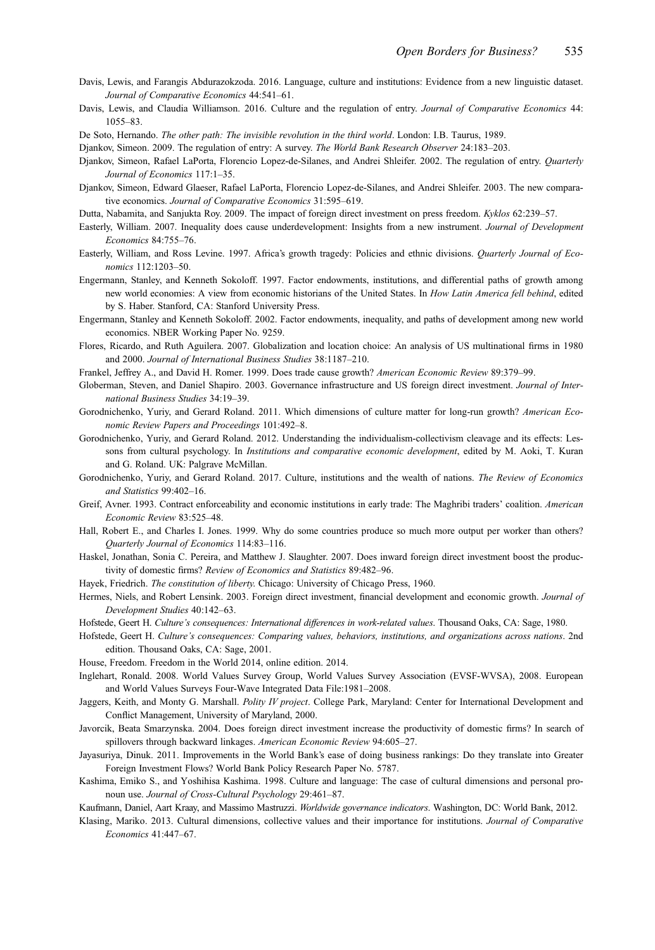- Davis, Lewis, and Farangis Abdurazokzoda. 2016. Language, culture and institutions: Evidence from a new linguistic dataset. Journal of Comparative Economics 44:541–61.
- Davis, Lewis, and Claudia Williamson. 2016. Culture and the regulation of entry. Journal of Comparative Economics 44: 1055–83.
- De Soto, Hernando. The other path: The invisible revolution in the third world. London: I.B. Taurus, 1989.
- Djankov, Simeon. 2009. The regulation of entry: A survey. The World Bank Research Observer 24:183–203.
- Djankov, Simeon, Rafael LaPorta, Florencio Lopez-de-Silanes, and Andrei Shleifer. 2002. The regulation of entry. Quarterly Journal of Economics 117:1–35.
- Djankov, Simeon, Edward Glaeser, Rafael LaPorta, Florencio Lopez-de-Silanes, and Andrei Shleifer. 2003. The new comparative economics. Journal of Comparative Economics 31:595–619.
- Dutta, Nabamita, and Sanjukta Roy. 2009. The impact of foreign direct investment on press freedom. Kyklos 62:239–57.
- Easterly, William. 2007. Inequality does cause underdevelopment: Insights from a new instrument. Journal of Development Economics 84:755–76.
- Easterly, William, and Ross Levine. 1997. Africa's growth tragedy: Policies and ethnic divisions. Quarterly Journal of Economics 112:1203–50.
- Engermann, Stanley, and Kenneth Sokoloff. 1997. Factor endowments, institutions, and differential paths of growth among new world economies: A view from economic historians of the United States. In How Latin America fell behind, edited by S. Haber. Stanford, CA: Stanford University Press.
- Engermann, Stanley and Kenneth Sokoloff. 2002. Factor endowments, inequality, and paths of development among new world economics. NBER Working Paper No. 9259.
- Flores, Ricardo, and Ruth Aguilera. 2007. Globalization and location choice: An analysis of US multinational firms in 1980 and 2000. Journal of International Business Studies 38:1187–210.
- Frankel, Jeffrey A., and David H. Romer. 1999. Does trade cause growth? American Economic Review 89:379–99.
- Globerman, Steven, and Daniel Shapiro. 2003. Governance infrastructure and US foreign direct investment. Journal of International Business Studies 34:19–39.
- Gorodnichenko, Yuriy, and Gerard Roland. 2011. Which dimensions of culture matter for long-run growth? American Economic Review Papers and Proceedings 101:492–8.
- Gorodnichenko, Yuriy, and Gerard Roland. 2012. Understanding the individualism-collectivism cleavage and its effects: Lessons from cultural psychology. In Institutions and comparative economic development, edited by M. Aoki, T. Kuran and G. Roland. UK: Palgrave McMillan.
- Gorodnichenko, Yuriy, and Gerard Roland. 2017. Culture, institutions and the wealth of nations. The Review of Economics and Statistics 99:402–16.
- Greif, Avner. 1993. Contract enforceability and economic institutions in early trade: The Maghribi traders' coalition. American Economic Review 83:525–48.
- Hall, Robert E., and Charles I. Jones. 1999. Why do some countries produce so much more output per worker than others? Quarterly Journal of Economics 114:83–116.
- Haskel, Jonathan, Sonia C. Pereira, and Matthew J. Slaughter. 2007. Does inward foreign direct investment boost the productivity of domestic firms? Review of Economics and Statistics 89:482–96.
- Hayek, Friedrich. The constitution of liberty. Chicago: University of Chicago Press, 1960.
- Hermes, Niels, and Robert Lensink. 2003. Foreign direct investment, financial development and economic growth. Journal of Development Studies 40:142–63.
- Hofstede, Geert H. Culture's consequences: International differences in work-related values. Thousand Oaks, CA: Sage, 1980.
- Hofstede, Geert H. Culture's consequences: Comparing values, behaviors, institutions, and organizations across nations. 2nd edition. Thousand Oaks, CA: Sage, 2001.
- House, Freedom. Freedom in the World 2014, online edition. 2014.
- Inglehart, Ronald. 2008. World Values Survey Group, World Values Survey Association (EVSF-WVSA), 2008. European and World Values Surveys Four-Wave Integrated Data File:1981–2008.
- Jaggers, Keith, and Monty G. Marshall. Polity IV project. College Park, Maryland: Center for International Development and Conflict Management, University of Maryland, 2000.
- Javorcik, Beata Smarzynska. 2004. Does foreign direct investment increase the productivity of domestic firms? In search of spillovers through backward linkages. American Economic Review 94:605–27.
- Jayasuriya, Dinuk. 2011. Improvements in the World Bank's ease of doing business rankings: Do they translate into Greater Foreign Investment Flows? World Bank Policy Research Paper No. 5787.
- Kashima, Emiko S., and Yoshihisa Kashima. 1998. Culture and language: The case of cultural dimensions and personal pronoun use. Journal of Cross-Cultural Psychology 29:461–87.
- Kaufmann, Daniel, Aart Kraay, and Massimo Mastruzzi. Worldwide governance indicators. Washington, DC: World Bank, 2012.
- Klasing, Mariko. 2013. Cultural dimensions, collective values and their importance for institutions. Journal of Comparative Economics 41:447–67.